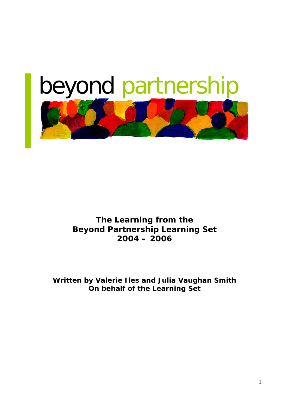# beyond partnership

**The Learning from the Beyond Partnership Learning Set 2004 – 2006**

**Written by Valerie Iles and Julia Vaughan Smith On behalf of the Learning Set**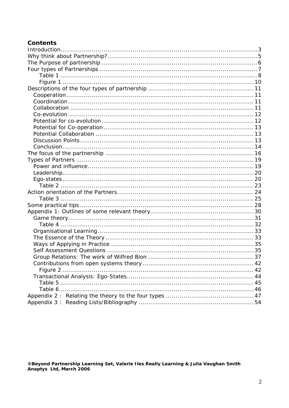# **Contents**

©Beyond Partnership Learning Set, Valerie Iles Really Learning & Julia Vaughan Smith<br>Anaptys Ltd, March 2006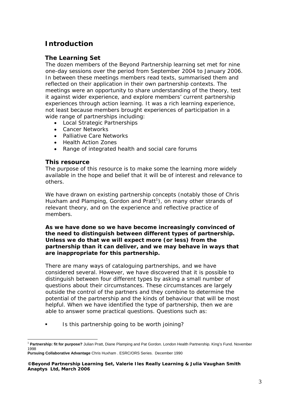# **Introduction**

# **The Learning Set**

The dozen members of the Beyond Partnership learning set met for nine one-day sessions over the period from September 2004 to January 2006. In between these meetings members read texts, summarised them and reflected on their application in their own partnership contexts. The meetings were an opportunity to share understanding of the theory, test it against wider experience, and explore members' current partnership experiences through action learning. It was a rich learning experience, not least because members brought experiences of participation in a wide range of partnerships including:

- Local Strategic Partnerships
- Cancer Networks
- Palliative Care Networks
- Health Action Zones
- Range of integrated health and social care forums

## **This resource**

The purpose of this resource is to make some the learning more widely available in the hope and belief that it will be of interest and relevance to others.

We have drawn on existing partnership concepts (notably those of Chris Huxham and Plamping, Gordon and Pratt<sup>1</sup>), on many other strands of relevant theory, and on the experience and reflective practice of members.

**As we have done so we have become increasingly convinced of the need to distinguish between different types of partnership. Unless we do that we will expect more (or less) from the partnership than it can deliver, and we may behave in ways that are inappropriate for this partnership.** 

There are many ways of cataloguing partnerships, and we have considered several. However, we have discovered that it is possible to distinguish between four different types by asking a small number of questions about their circumstances. These circumstances are largely outside the control of the partners and they combine to determine the potential of the partnership and the kinds of behaviour that will be most helpful. When we have identified the type of partnership, then we are able to answer some practical questions. Questions such as:

Is this partnership going to be worth joining?

 <sup>1</sup> **Partnership: fit for purpose?** Julian Pratt, Diane Plamping and Pat Gordon. London Health Partnership. King's Fund. November 1998

**Pursuing Collaborative Advantage** Chris Huxham . ESRC/ORS Series. December 1990

**<sup>©</sup>Beyond Partnership Learning Set, Valerie Iles Really Learning & Julia Vaughan Smith Anaptys Ltd, March 2006**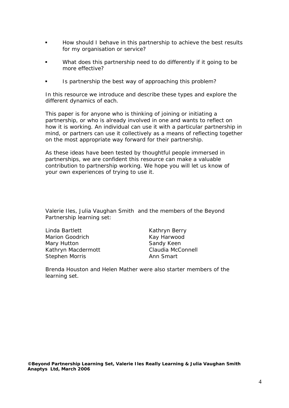- How should I behave in this partnership to achieve the best results for my organisation or service?
- What does this partnership need to do differently if it going to be more effective?
- Is partnership the best way of approaching this problem?

In this resource we introduce and describe these types and explore the different dynamics of each.

This paper is for anyone who is thinking of joining or initiating a partnership, or who is already involved in one and wants to reflect on how it is working. An individual can use it with a particular partnership in mind, or partners can use it collectively as a means of reflecting together on the most appropriate way forward for their partnership.

As these ideas have been tested by thoughtful people immersed in partnerships, we are confident this resource can make a valuable contribution to partnership working. We hope you will let us know of your own experiences of trying to use it.

Valerie Iles, Julia Vaughan Smith and the members of the Beyond Partnership learning set:

Linda Bartlett Kathryn Berry Marion Goodrich **Kay Harwood** Mary Hutton **Sandy Keen** Kathryn Macdermott Claudia McConnell Stephen Morris **Ann Smart** 

*Brenda Houston and Helen Mather were also starter members of the learning set.*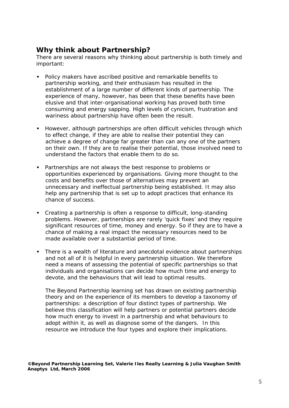# **Why think about Partnership?**

There are several reasons why thinking about partnership is both timely and important:

- **Policy makers have ascribed positive and remarkable benefits to** partnership working, and their enthusiasm has resulted in the establishment of a large number of different kinds of partnership. The experience of many, however, has been that these benefits have been elusive and that inter-organisational working has proved both time consuming and energy sapping. High levels of cynicism, frustration and wariness about partnership have often been the result.
- **However, although partnerships are often difficult vehicles through which** to effect change, if they are able to realise their potential they can achieve a degree of change far greater than can any one of the partners on their own. If they *are* to realise their potential, those involved need to understand the factors that enable them to do so.
- Partnerships are not always the best response to problems or opportunities experienced by organisations. Giving more thought to the costs and benefits over those of alternatives may prevent an unnecessary and ineffectual partnership being established. It may also help any partnership that *is* set up to adopt practices that enhance its chance of success.
- Creating a partnership is often a response to difficult, long-standing problems. However, partnerships are rarely 'quick fixes' and they require significant resources of time, money and energy. So if they are to have a chance of making a real impact the necessary resources need to be made available over a substantial period of time.
- There is a wealth of literature and anecdotal evidence about partnerships and not all of it is helpful in every partnership situation. We therefore need a means of assessing the potential of specific partnerships so that individuals and organisations can decide how much time and energy to devote, and the behaviours that will lead to optimal results.

The Beyond Partnership learning set has drawn on existing partnership theory and on the experience of its members to develop a taxonomy of partnerships: a description of four distinct types of partnership. We believe this classification will help partners or potential partners decide how much energy to invest in a partnership and what behaviours to adopt within it, as well as diagnose some of the dangers. In this resource we introduce the four types and explore their implications.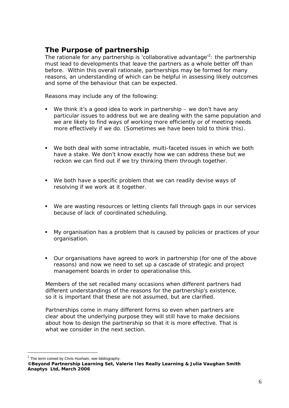# **The Purpose of partnership**

The rationale for any partnership is 'collaborative advantage'<sup>2</sup>: the partnership must lead to developments that leave the partners as a whole better off than before. Within this overall rationale, partnerships may be formed for many reasons, an understanding of which can be helpful in assessing likely outcomes and some of the behaviour that can be expected.

Reasons may include any of the following:

- We think it's a good idea to work in partnership we don't have any particular issues to address but we are dealing with the same population and we are likely to find ways of working more efficiently or of meeting needs more effectively if we do. (Sometimes we have been *told* to think this).
- We both deal with some intractable, multi-faceted issues in which we both have a stake. We don't know exactly how we can address these but we reckon we can find out if we try thinking them through together.
- We both have a specific problem that we can readily devise ways of resolving if we work at it together.
- We are wasting resources or letting clients fall through gaps in our services because of lack of coordinated scheduling.
- My organisation has a problem that is caused by policies or practices of your organisation.
- Our organisations have agreed to work in partnership (for one of the above reasons) and now we need to set up a cascade of strategic and project management boards in order to operationalise this.

Members of the set recalled many occasions when different partners had different understandings of the reasons for the partnership's existence, so it is important that these are not assumed, but are clarified.

Partnerships come in many different forms so even when partners are clear about the underlying purpose they will still have to make decisions about how to design the partnership so that it is more effective. That is what we consider in the next section.

 $\overline{a}$ 

The term coined by Chris Huxham, see bibliography.

**<sup>©</sup>Beyond Partnership Learning Set, Valerie Iles Really Learning & Julia Vaughan Smith Anaptys Ltd, March 2006**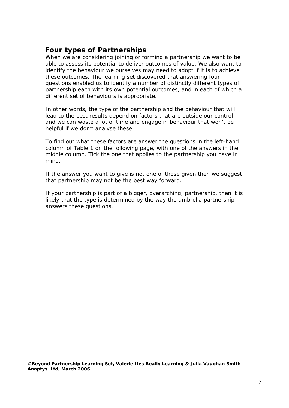# **Four types of Partnerships**

When we are considering joining or forming a partnership we want to be able to assess its potential to deliver outcomes of value. We also want to identify the behaviour we ourselves may need to adopt if it is to achieve these outcomes. The learning set discovered that answering four questions enabled us to identify a number of distinctly different types of partnership each with its own potential outcomes, and in each of which a different set of behaviours is appropriate.

In other words, the type of the partnership and the behaviour that will lead to the best results depend on factors that are outside our control and we can waste a lot of time and engage in behaviour that won't be helpful if we don't analyse these.

To find out what these factors are answer the questions in the left-hand column of Table 1 on the following page, with one of the answers in the middle column. Tick the one that applies to the partnership you have in mind.

If the answer you want to give is not one of those given then we suggest that partnership may not be the best way forward.

If your partnership is part of a bigger, overarching, partnership, then it is likely that the type is determined by the way the umbrella partnership answers these questions.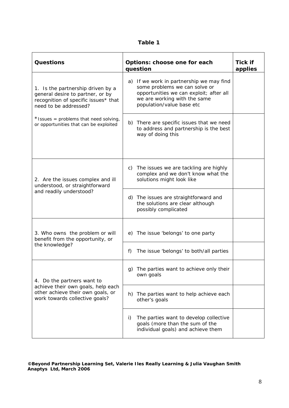| able |
|------|
|------|

| <b>Questions</b>                                                                                                                       | Options: choose one for each<br>question                                                                                                                                          | <b>Tick if</b><br>applies |
|----------------------------------------------------------------------------------------------------------------------------------------|-----------------------------------------------------------------------------------------------------------------------------------------------------------------------------------|---------------------------|
| 1. Is the partnership driven by a<br>general desire to partner, or by<br>recognition of specific issues* that<br>need to be addressed? | a) If we work in partnership we may find<br>some problems we can solve or<br>opportunities we can exploit; after all<br>we are working with the same<br>population/value base etc |                           |
| * Issues = problems that need solving,<br>or opportunities that can be exploited                                                       | b) There are specific issues that we need<br>to address and partnership is the best<br>way of doing this                                                                          |                           |
| 2. Are the issues complex and ill<br>understood, or straightforward                                                                    | c) The issues we are tackling are highly<br>complex and we don't know what the<br>solutions might look like                                                                       |                           |
| and readily understood?                                                                                                                | d) The issues are straightforward and<br>the solutions are clear although<br>possibly complicated                                                                                 |                           |
| 3. Who owns the problem or will<br>benefit from the opportunity, or                                                                    | e) The issue 'belongs' to one party                                                                                                                                               |                           |
| the knowledge?                                                                                                                         | The issue 'belongs' to both/all parties<br>f)                                                                                                                                     |                           |
| 4. Do the partners want to                                                                                                             | g) The parties want to achieve only their<br>own goals                                                                                                                            |                           |
| achieve their own goals, help each<br>other achieve their own goals, or<br>work towards collective goals?                              | The parties want to help achieve each<br>h)<br>other's goals                                                                                                                      |                           |
|                                                                                                                                        | The parties want to develop collective<br>i)<br>goals (more than the sum of the<br>individual goals) and achieve them                                                             |                           |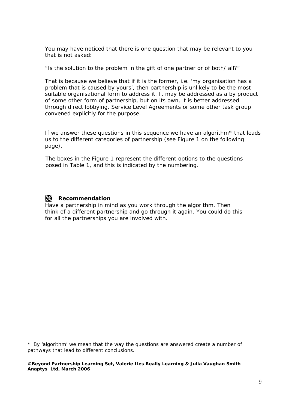You may have noticed that there is one question that may be relevant to you that is not asked:

"Is the solution to the problem in the gift of one partner or of both/ all?"

That is because we believe that if it is the former, i.e. 'my organisation has a problem that is caused by yours', then partnership is unlikely to be the most suitable organisational form to address it. It may be addressed as a by product of some other form of partnership, but on its own, it is better addressed through direct lobbying, Service Level Agreements or some other task group convened explicitly for the purpose.

If we answer these questions in this sequence we have an algorithm\* that leads us to the different categories of partnership (see Figure 1 on the following page).

The boxes in the Figure 1 represent the different options to the questions posed in Table 1, and this is indicated by the numbering.

# **Recommendation**

Have a partnership in mind as you work through the algorithm. Then think of a different partnership and go through it again. You could do this for all the partnerships you are involved with.

\* By 'algorithm' we mean that the way the questions are answered create a number of pathways that lead to different conclusions.

#### **©Beyond Partnership Learning Set, Valerie Iles Really Learning & Julia Vaughan Smith Anaptys Ltd, March 2006**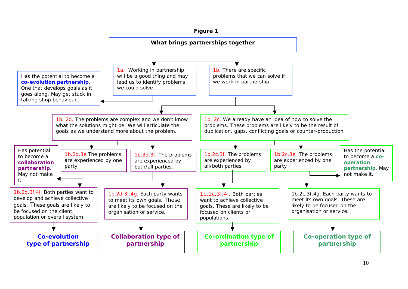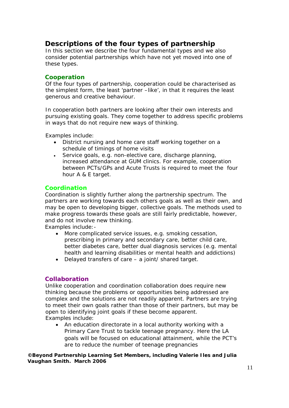# **Descriptions of the four types of partnership**

In this section we describe the four fundamental types and we also consider potential partnerships which have not yet moved into one of these types.

## **Cooperation**

Of the four types of partnership, cooperation could be characterised as the simplest form, the least 'partner –like', in that it requires the least generous and creative behaviour.

In cooperation both partners are looking after their own interests and pursuing existing goals. They come together to address specific problems in ways that do not require new ways of thinking.

Examples include:

- District nursing and home care staff working together on a schedule of timings of home visits
- Service goals, e.g. non-elective care, discharge planning, increased attendance at GUM clinics. For example, cooperation between PCTs/GPs and Acute Trusts is required to meet the four hour A & E target.

## **Coordination**

Coordination is slightly further along the partnership spectrum. The partners are working towards each others goals as well as their own, and may be open to developing bigger, collective goals. The methods used to make progress towards these goals are still fairly predictable, however, and do not involve new thinking.

Examples include:-

- More complicated service issues, e.g. smoking cessation, prescribing in primary and secondary care, better child care, better diabetes care, better dual diagnosis services (e.g. mental health and learning disabilities or mental health and addictions)
- Delayed transfers of care a joint/ shared target.

## **Collaboration**

Unlike cooperation and coordination collaboration *does* require new thinking because the problems or opportunities being addressed are complex and the solutions are not readily apparent. Partners are trying to meet their own goals rather than those of their partners, but may be open to identifying joint goals if these become apparent. Examples include:

• An education directorate in a local authority working with a Primary Care Trust to tackle teenage pregnancy. Here the LA goals will be focused on educational attainment, while the PCT's are to reduce the number of teenage pregnancies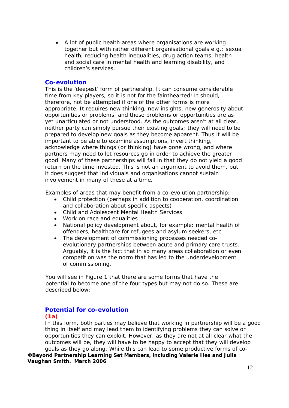• A lot of public health areas where organisations are working together but with rather different organisational goals e.g.: sexual health, reducing health inequalities, drug action teams, health and social care in mental health and learning disability, and children's services.

#### **Co-evolution**

This is the 'deepest' form of partnership. It can consume considerable time from key players, so it is not for the fainthearted! It should, therefore, not be attempted if one of the other forms is more appropriate. It requires new thinking, new insights, new generosity about opportunities or problems, and these problems or opportunities are as yet unarticulated or not understood. As the outcomes aren't at all clear, neither party can simply pursue their existing goals; they will need to be prepared to develop new goals as they become apparent. Thus it will be important to be able to examine assumptions, invert thinking, acknowledge where things (or thinking) have gone wrong, and where partners may need to let resources go in order to achieve the greater good. Many of these partnerships will fail in that they do not yield a good return on the time invested. This is not an argument to avoid them, but it does suggest that individuals and organisations cannot sustain involvement in many of these at a time.

Examples of areas that may benefit from a co-evolution partnership:

- Child protection (perhaps in addition to cooperation, coordination and collaboration about specific aspects)
- Child and Adolescent Mental Health Services
- Work on race and equalities
- National policy development about, for example: mental health of offenders, healthcare for refugees and asylum seekers, etc
- The development of commissioning processes needed coevolutionary partnerships between acute and primary care trusts. Arguably, it is the fact that in so many areas collaboration or even competition was the norm that has led to the underdevelopment of commissioning.

You will see in Figure 1 that there are some forms that have the potential to become one of the four types but may not do so. These are described below:

#### **Potential for co-evolution (1a)**

In this form, both parties may believe that working in partnership will be a good thing in itself and may lead them to identifying problems they can solve or opportunities they can exploit. However, as they are not at all clear what the outcomes will be, they will have to be happy to accept that they will develop goals as they go along. While this can lead to some productive forms of co-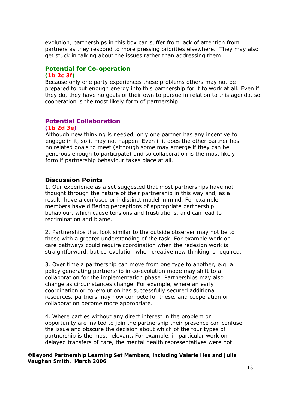evolution, partnerships in this box can suffer from lack of attention from partners as they respond to more pressing priorities elsewhere. They may also get stuck in talking about the issues rather than addressing them.

# **Potential for Co-operation**

#### **(1b 2c 3f)**

Because only one party experiences these problems others may not be prepared to put enough energy into this partnership for it to work at all. Even if they do, they have no goals of their own to pursue in relation to this agenda, so cooperation is the most likely form of partnership.

# **Potential Collaboration**

#### **(1b 2d 3e)**

Although new thinking is needed, only one partner has any incentive to engage in it, so it may not happen. Even if it does the other partner has no related goals to meet (although some may emerge if they can be generous enough to participate) and so collaboration is the most likely form if partnership behaviour takes place at all.

#### **Discussion Points**

1. Our experience as a set suggested that most partnerships have not thought through the nature of their partnership in this way and, as a result, have a confused or indistinct model in mind. For example, members have differing perceptions of appropriate partnership behaviour, which cause tensions and frustrations, and can lead to recrimination and blame.

2. Partnerships that look similar to the outside observer may not be to those with a greater understanding of the task. For example work on care pathways could require coordination when the redesign work is straightforward, but co-evolution when creative new thinking is required.

3. Over time a partnership can move from one type to another, e.g. a policy generating partnership in co-evolution mode may shift to a collaboration for the implementation phase. Partnerships may also change as circumstances change. For example, where an early coordination or co-evolution has successfully secured additional resources, partners may now compete for these, and cooperation or collaboration become more appropriate.

4. Where parties without any direct interest in the problem or opportunity are invited to join the partnership their presence can confuse the issue and obscure the decision about which of the four types of partnership is the most relevant**.** For example, in particular work on delayed transfers of care, the mental health representatives were not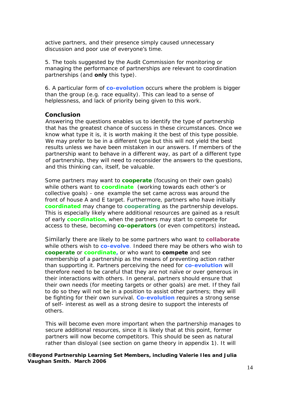active partners, and their presence simply caused unnecessary discussion and poor use of everyone's time.

5. The tools suggested by the Audit Commission for monitoring or managing the performance of partnerships are relevant to coordination partnerships (and **only** this type).

6. A particular form of **co-evolution** occurs where the problem is bigger than the group (e.g. race equality). This can lead to a sense of helplessness, and lack of priority being given to this work.

#### **Conclusion**

Answering the questions enables us to identify the type of partnership that has the greatest chance of success in these circumstances. Once we know what type it is, it is worth making it the best of this type possible. We may prefer to be in a different type but this will not yield the best results unless we have been mistaken in our answers. If members of the partnership want to behave in a different way, as part of a different type of partnership, they will need to reconsider the answers to the questions, and this thinking can, itself, be valuable.

Some partners may want to **cooperate** (focusing on their own goals) while others want to **coordinate** (working towards each other's or collective goals) - one example the set came across was around the front of house A and E target. Furthermore, partners who have initially **coordinated** may change to **cooperating** as the partnership develops. This is especially likely where additional resources are gained as a result of early **coordination,** when the partners may start to compete for access to these, becoming **co-operators** (or even competitors) instead**.**

Similarly there are likely to be some partners who want to **collaborate** while others wish to **co-evolve**. Indeed there may be others who wish to **cooperate** or **coordinate,** or who want to **compete** and see membership of a partnership as the means of preventing action rather than supporting it. Partners perceiving the need for **co-evolution** will therefore need to be careful that they are not naïve or over generous in their interactions with others. In general, partners should ensure that their own needs (for meeting targets or other goals) are met. If they fail to do so they will not be in a position to assist other partners; they will be fighting for their own survival. **Co-evolution** requires a strong sense of self- interest as well as a strong desire to support the interests of others.

This will become even more important when the partnership manages to secure additional resources, since it is likely that at this point, former partners will now become competitors. This should be seen as natural rather than disloyal (see section on game theory in appendix 1). It will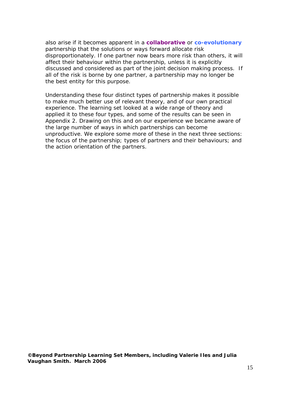also arise if it becomes apparent in a **collaborative** or **co-evolutionary** partnership that the solutions or ways forward allocate risk disproportionately. If one partner now bears more risk than others, it will affect their behaviour within the partnership, unless it is explicitly discussed and considered as part of the joint decision making process. If all of the risk is borne by one partner, a partnership may no longer be the best entity for this purpose.

Understanding these four distinct types of partnership makes it possible to make much better use of relevant theory, and of our own practical experience. The learning set looked at a wide range of theory and applied it to these four types, and some of the results can be seen in Appendix 2. Drawing on this and on our experience we became aware of the large number of ways in which partnerships can become unproductive. We explore some more of these in the next three sections: the focus of the partnership; types of partners and their behaviours; and the action orientation of the partners.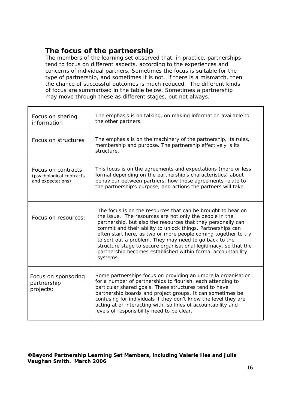# **The focus of the partnership**

The members of the learning set observed that, in practice, partnerships tend to focus on different aspects, according to the experiences and concerns of individual partners. Sometimes the focus is suitable for the type of partnership, and sometimes it is not. If there is a mismatch, then the chance of successful outcomes is much reduced. The different kinds of focus are summarised in the table below. Sometimes a partnership may move through these as different stages, but not always.

| Focus on sharing<br>information                                     | The emphasis is on talking, on making information available to<br>the other partners.                                                                                                                                                                                                                                                                                                                                                                                                                                              |
|---------------------------------------------------------------------|------------------------------------------------------------------------------------------------------------------------------------------------------------------------------------------------------------------------------------------------------------------------------------------------------------------------------------------------------------------------------------------------------------------------------------------------------------------------------------------------------------------------------------|
| Focus on structures                                                 | The emphasis is on the machinery of the partnership, its rules,<br>membership and purpose. The partnership effectively is its<br>structure.                                                                                                                                                                                                                                                                                                                                                                                        |
| Focus on contracts<br>(psychological contracts<br>and expectations) | This focus is on the agreements and expectations (more or less<br>formal depending on the partnership's characteristics) about<br>behaviour between partners, how those agreements relate to<br>the partnership's purpose, and actions the partners will take.                                                                                                                                                                                                                                                                     |
| Focus on resources:                                                 | The focus is on the resources that can be brought to bear on<br>the issue. The resources are not only the people in the<br>partnership, but also the resources that they personally can<br>commit and their ability to unlock things. Partnerships can<br>often start here, as two or more people coming together to try<br>to sort out a problem. They may need to go back to the<br>structure stage to secure organisational legitimacy, so that the<br>partnership becomes established within formal accountability<br>systems. |
| Focus on sponsoring<br>partnership<br>projects:                     | Some partnerships focus on providing an umbrella organisation<br>for a number of partnerships to flourish, each attending to<br>particular shared goals. These structures tend to have<br>partnership boards and project groups. It can sometimes be<br>confusing for individuals if they don't know the level they are<br>acting at or interacting with, so lines of accountability and<br>levels of responsibility need to be clear.                                                                                             |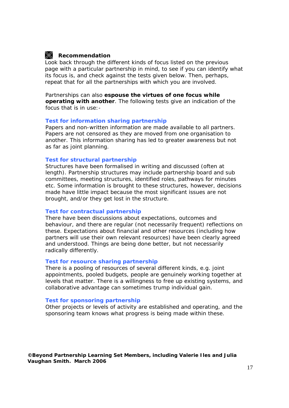# **Recommendation**

Look back through the different kinds of focus listed on the previous page with a particular partnership in mind, to see if you can identify what its focus is, and check against the tests given below. Then, perhaps, repeat that for all the partnerships with which you are involved.

Partnerships can also **espouse the virtues of one focus while operating with another**. The following tests give an indication of the focus that is in use:-

#### *Test for information sharing partnership*

Papers and non-written information are made available to all partners. Papers are not censored as they are moved from one organisation to another. This information sharing has led to greater awareness but not as far as joint planning.

#### *Test for structural partnership*

Structures have been formalised in writing and discussed (often at length). Partnership structures may include partnership board and sub committees, meeting structures, identified roles, pathways for minutes etc. Some information is brought to these structures, however, decisions made have little impact because the most significant issues are not brought, and/or they get lost in the structure.

#### *Test for contractual partnership*

There have been discussions about expectations, outcomes and behaviour, and there are regular (not necessarily frequent) reflections on these. Expectations about financial and other resources (including how partners will use their own relevant resources) have been clearly agreed and understood. Things are being done better, but not necessarily radically differently.

#### *Test for resource sharing partnership*

There is a pooling of resources of several different kinds, e.g. joint appointments, pooled budgets, people are genuinely working together at levels that matter. There is a willingness to free up existing systems, and collaborative advantage can sometimes trump individual gain.

#### *Test for sponsoring partnership*

Other projects or levels of activity are established and operating, and the sponsoring team knows what progress is being made within these.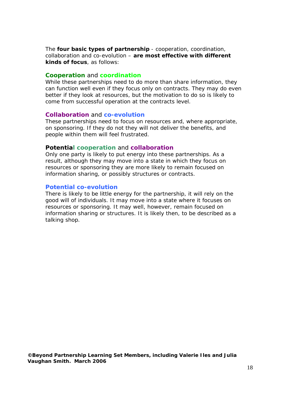The **four basic types of partnership** - cooperation, coordination, collaboration and co-evolution – **are most effective with different kinds of focus**, as follows:

#### **Cooperation** and **coordination**

While these partnerships need to do more than share information, they can function well even if they focus only on contracts. They may do even better if they look at resources, but the motivation to do so is likely to come from successful operation at the contracts level.

#### **Collaboration** and **co-evolution**

These partnerships need to focus on resources and, where appropriate, on sponsoring. If they do not they will not deliver the benefits, and people within them will feel frustrated.

#### **Potential cooperation** and **collaboration**

Only one party is likely to put energy into these partnerships. As a result, although they may move into a state in which they focus on resources or sponsoring they are more likely to remain focused on information sharing, or possibly structures or contracts.

#### **Potential co-evolution**

There is likely to be little energy for the partnership, it will rely on the good will of individuals. It may move into a state where it focuses on resources or sponsoring. It may well, however, remain focused on information sharing or structures. It is likely then, to be described as a talking shop.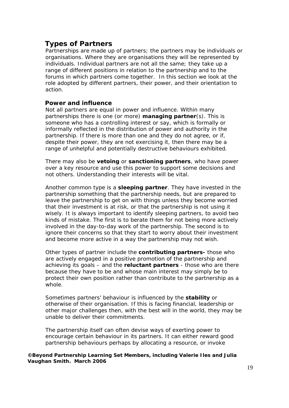# **Types of Partners**

Partnerships are made up of partners; the partners may be individuals or organisations. Where they are organisations they will be represented by individuals. Individual partners are not all the same; they take up a range of different positions in relation to the partnership and to the forums in which partners come together. In this section we look at the role adopted by different partners, their power, and their orientation to action.

## **Power and influence**

Not all partners are equal in power and influence. Within many partnerships there is one (or more) **managing partner**(s). This is someone who has a controlling interest or say, which is formally or informally reflected in the distribution of power and authority in the partnership. If there is more than one and they do not agree, or if, despite their power, they are not exercising it, then there may be a range of unhelpful and potentially destructive behaviours exhibited.

There may also be **vetoing** or **sanctioning partners**, who have power over a key resource and use this power to support some decisions and not others. Understanding their interests will be vital.

Another common type is a **sleeping partner**. They have invested in the partnership something that the partnership needs, but are prepared to leave the partnership to get on with things unless they become worried that their investment is at risk, or that the partnership is not using it wisely. It is always important to identify sleeping partners, to avoid two kinds of mistake. The first is to berate them for not being more actively involved in the day-to-day work of the partnership. The second is to ignore their concerns so that they start to worry about their investment and become more active in a way the partnership may not wish.

Other types of partner include the **contributing partners-** those who are actively engaged in a positive promotion of the partnership and achieving its goals – and the **reluctant partners** - those who are there because they have to be and whose main interest may simply be to protect their own position rather than contribute to the partnership as a whole.

Sometimes partners' behaviour is influenced by the **stability** or otherwise of their organisation. If this is facing financial, leadership or other major challenges then, with the best will in the world, they may be unable to deliver their commitments.

The partnership itself can often devise ways of exerting power to encourage certain behaviour in its partners. It can either reward good partnership behaviours perhaps by allocating a resource, or invoke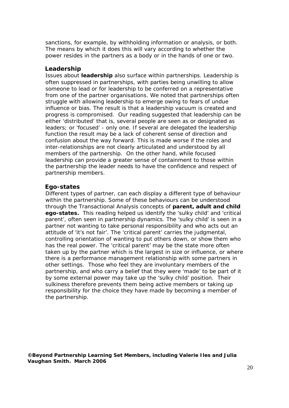sanctions, for example, by withholding information or analysis, or both. The means by which it does this will vary according to whether the power resides in the partners as a body or in the hands of one or two.

### **Leadership**

Issues about **leadership** also surface within partnerships. Leadership is often suppressed in partnerships, with parties being unwilling to allow someone to lead or for leadership to be conferred on a representative from one of the partner organisations. We noted that partnerships often struggle with allowing leadership to emerge owing to fears of undue influence or bias. The result is that a leadership vacuum is created and progress is compromised. Our reading suggested that leadership can be either 'distributed' that is, several people are seen as or designated as leaders; or 'focused' - only one. If several are delegated the leadership function the result may be a lack of coherent sense of direction and confusion about the way forward. This is made worse if the roles and inter-relationships are not clearly articulated and understood by all members of the partnership. On the other hand, while focused leadership can provide a greater sense of containment to those within the partnership the leader needs to have the confidence and respect of partnership members.

## **Ego-states**

Different types of partner, can each display a different type of behaviour within the partnership. Some of these behaviours can be understood through the Transactional Analysis concepts of **parent, adult and child ego-states.** This reading helped us identify the 'sulky child' and 'critical parent', often seen in partnership dynamics. The 'sulky child' is seen in a partner not wanting to take personal responsibility and who acts out an attitude of 'it's not fair'. The 'critical parent' carries the judgmental, controlling orientation of wanting to put others down, or show them who has the real power. The 'critical parent' may be the state more often taken up by the partner which is the largest in size or influence, or where there is a performance management relationship with some partners in other settings. Those who feel they are involuntary members of the partnership, and who carry a belief that they were 'made' to be part of it by some external power may take up the 'sulky child' position. Their sulkiness therefore prevents them being active members or taking up responsibility for the choice they have made by becoming a member of the partnership.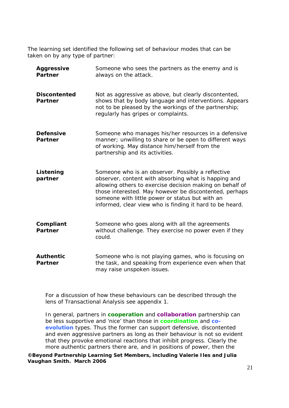The learning set identified the following set of behaviour modes that can be taken on by any type of partner:

| <b>Aggressive</b><br><b>Partner</b>   | Someone who sees the partners as the enemy and is<br>always on the attack.                                                                                                                                                                                                                                                                     |
|---------------------------------------|------------------------------------------------------------------------------------------------------------------------------------------------------------------------------------------------------------------------------------------------------------------------------------------------------------------------------------------------|
| <b>Discontented</b><br><b>Partner</b> | Not as aggressive as above, but clearly discontented,<br>shows that by body language and interventions. Appears<br>not to be pleased by the workings of the partnership;<br>regularly has gripes or complaints.                                                                                                                                |
| <b>Defensive</b><br><b>Partner</b>    | Someone who manages his/her resources in a defensive<br>manner; unwilling to share or be open to different ways<br>of working. May distance him/herself from the<br>partnership and its activities.                                                                                                                                            |
| Listening<br>partner                  | Someone who is an observer. Possibly a reflective<br>observer, content with absorbing what is happing and<br>allowing others to exercise decision making on behalf of<br>those interested. May however be discontented, perhaps<br>someone with little power or status but with an<br>informed, clear view who is finding it hard to be heard. |
| Compliant<br><b>Partner</b>           | Someone who goes along with all the agreements<br>without challenge. They exercise no power even if they<br>could.                                                                                                                                                                                                                             |
| <b>Authentic</b><br><b>Partner</b>    | Someone who is not playing games, who is focusing on<br>the task, and speaking from experience even when that<br>may raise unspoken issues.                                                                                                                                                                                                    |

For a discussion of how these behaviours can be described through the lens of Transactional Analysis see appendix 1.

In general, partners in **cooperation** and **collaboration** partnership can be less supportive and 'nice' than those in **coordination** and **coevolution** types. Thus the former can support defensive, discontented and even aggressive partners as long as their behaviour is not so evident that they provoke emotional reactions that inhibit progress. Clearly the more authentic partners there are, and in positions of power, then the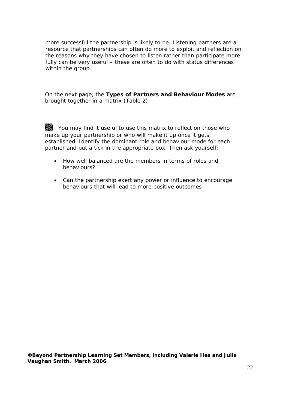more successful the partnership is likely to be. Listening partners are a resource that partnerships can often do more to exploit and reflection on the reasons why they have chosen to listen rather than participate more fully can be very useful – these are often to do with status differences within the group.

On the next page, the **Types of Partners and Behaviour Modes** are brought together in a matrix (Table 2).

You may find it useful to use this matrix to reflect on those who make up your partnership or who will make it up once it gets established. Identify the dominant role and behaviour mode for each partner and put a tick in the appropriate box. Then ask yourself:

- How well balanced are the members in terms of roles and behaviours?
- Can the partnership exert any power or influence to encourage behaviours that will lead to more positive outcomes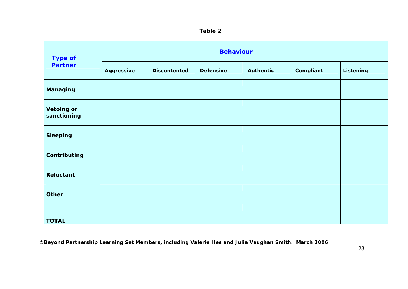| ١<br>ΠО<br>. . |  |
|----------------|--|
|----------------|--|

| <b>Type of</b>                   |                   |                     | <b>Behaviour</b> |                  |           |           |
|----------------------------------|-------------------|---------------------|------------------|------------------|-----------|-----------|
| <b>Partner</b>                   | <b>Aggressive</b> | <b>Discontented</b> | <b>Defensive</b> | <b>Authentic</b> | Compliant | Listening |
| Managing                         |                   |                     |                  |                  |           |           |
| <b>Vetoing or</b><br>sanctioning |                   |                     |                  |                  |           |           |
| <b>Sleeping</b>                  |                   |                     |                  |                  |           |           |
| Contributing                     |                   |                     |                  |                  |           |           |
| <b>Reluctant</b>                 |                   |                     |                  |                  |           |           |
| <b>Other</b>                     |                   |                     |                  |                  |           |           |
| <b>TOTAL</b>                     |                   |                     |                  |                  |           |           |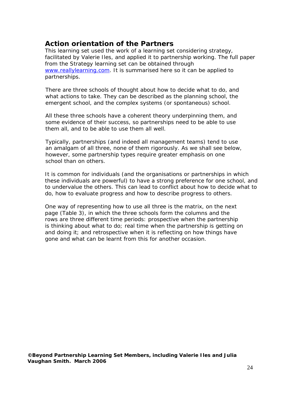# **Action orientation of the Partners**

This learning set used the work of a learning set considering strategy, facilitated by Valerie Iles, and applied it to partnership working. The full paper from the Strategy learning set can be obtained through www.reallylearning.com. It is summarised here so it can be applied to partnerships.

There are three schools of thought about how to decide what to do, and what actions to take. They can be described as the planning school, the emergent school, and the complex systems (or spontaneous) school.

All these three schools have a coherent theory underpinning them, and some evidence of their success, so partnerships need to be *able* to use them all, and to be able to use them all well.

Typically, partnerships (and indeed all management teams) tend to use an amalgam of all three, none of them rigorously. As we shall see below, however, some partnership types require greater emphasis on one school than on others.

It is common for individuals (and the organisations or partnerships in which these individuals are powerful) to have a strong preference for one school, and to undervalue the others. This can lead to conflict about how to decide what to do, how to evaluate progress and how to describe progress to others.

One way of representing how to use all three is the matrix, on the next page (Table 3), in which the three schools form the columns and the rows are three different time periods: *prospective* when the partnership is thinking about what to do; *real time* when the partnership is getting on and doing it; and *retrospective* when it is reflecting on how things have gone and what can be learnt from this for another occasion.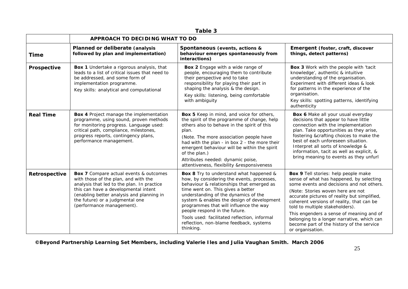| Table 3          |                                                                                                                                                                                                                                                                                          |                                                                                                                                                                                                                                                                                                                                                                                                                                                         |                                                                                                                                                                                                                                                                                                                                                                                                                                                               |  |  |  |
|------------------|------------------------------------------------------------------------------------------------------------------------------------------------------------------------------------------------------------------------------------------------------------------------------------------|---------------------------------------------------------------------------------------------------------------------------------------------------------------------------------------------------------------------------------------------------------------------------------------------------------------------------------------------------------------------------------------------------------------------------------------------------------|---------------------------------------------------------------------------------------------------------------------------------------------------------------------------------------------------------------------------------------------------------------------------------------------------------------------------------------------------------------------------------------------------------------------------------------------------------------|--|--|--|
|                  | APPROACH TO DECIDING WHAT TO DO                                                                                                                                                                                                                                                          |                                                                                                                                                                                                                                                                                                                                                                                                                                                         |                                                                                                                                                                                                                                                                                                                                                                                                                                                               |  |  |  |
| <b>Time</b>      | Planned or deliberate (analysis<br>followed by plan and implementation)                                                                                                                                                                                                                  | Spontaneous (events, actions &<br>behaviour emerges spontaneously from<br>interactions)                                                                                                                                                                                                                                                                                                                                                                 | Emergent (foster, craft, discover<br>things, detect patterns)                                                                                                                                                                                                                                                                                                                                                                                                 |  |  |  |
| Prospective      | Box 1 Undertake a rigorous analysis, that<br>leads to a list of critical issues that need to<br>be addressed, and some form of<br>implementation programme.<br>Key skills: analytical and computational                                                                                  | Box 2 Engage with a wide range of<br>people, encouraging them to contribute<br>their perspective and to take<br>responsibility for playing their part in<br>shaping the analysis & the design.<br>Key skills: listening, being comfortable<br>with ambiguity                                                                                                                                                                                            | Box 3 Work with the people with 'tacit<br>knowledge', authentic & intuitive<br>understanding of the organisation.<br>Experiment with different ideas & look<br>for patterns in the experience of the<br>organisation.<br>Key skills: spotting patterns, identifying<br>authenticity                                                                                                                                                                           |  |  |  |
| <b>Real Time</b> | Box 4 Project manage the implementation<br>programme, using sound, proven methods<br>for monitoring progress. Language used:<br>critical path, compliance, milestones,<br>progress reports, contingency plans,<br>performance management.                                                | Box 5 Keep in mind, and voice for others,<br>the spirit of the programme of change, help<br>others also to behave in the spirit of this<br>plan.<br>(Note. The more association people have<br>had with the plan - in box 2 - the more their<br>emergent behaviour will be within the spirit<br>of the plan.)<br>Attributes needed: dynamic poise,<br>attentiveness, flexibility &responsiveness                                                        | Box 6 Make all your usual everyday<br>decisions that appear to have little<br>connection with the implementation<br>plan. Take opportunities as they arise,<br>fostering &crafting choices to make the<br>best of each unforeseen situation.<br>Interpret all sorts of knowledge &<br>information, tacit as well as explicit, &<br>bring meaning to events as they unfurl                                                                                     |  |  |  |
| Retrospective    | <b>Box 7</b> Compare actual events & outcomes<br>with those of the plan, and with the<br>analysis that led to the plan. In practice<br>this can have a developmental intent<br>(enabling better analysis and planning in<br>the future) or a judgmental one<br>(performance management). | <b>Box 8</b> Try to understand what happened &<br>how, by considering the events, processes,<br>behaviour & relationships that emerged as<br>time went on. This gives a better<br>understanding of the dynamics of the<br>system & enables the design of development<br>programmes that will influence the way<br>people respond in the future.<br>Tools used: facilitated reflection, informal<br>reflection, non-blame feedback, systems<br>thinking. | Box 9 Tell stories: help people make<br>sense of what has happened, by selecting<br>some events and decisions and not others.<br>(Note: Stories woven here are not<br>accurate pictures of reality but simplified,<br>coherent versions of reality, that can be<br>told to multiple stakeholders).<br>This engenders a sense of meaning and of<br>belonging to a longer narrative, which can<br>become part of the history of the service<br>or organisation. |  |  |  |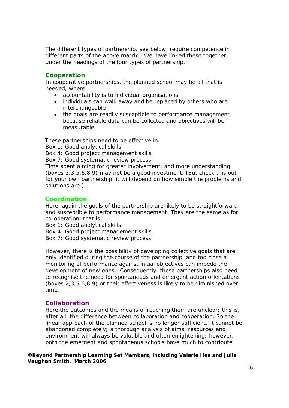The different types of partnership, see below, require competence in different parts of the above matrix. We have linked these together under the headings of the four types of partnership.

### **Cooperation**

In cooperative partnerships, the planned school may be all that is needed, where:

- accountability is to individual organisations
- individuals can walk away and be replaced by others who are interchangeable
- the goals are readily susceptible to performance management because reliable data can be collected and objectives will be measurable.

These partnerships need to be effective in:

Box 1: Good analytical skills

Box 4: Good project management skills

Box 7: Good systematic review process

Time spent aiming for greater involvement, and more understanding (boxes 2,3,5,6,8.9) may not be a good investment. (But check this out for your own partnership, it will depend on how simple the problems and solutions are.)

## **Coordination**

Here, again the goals of the partnership are likely to be straightforward and susceptible to performance management. They are the same as for co-operation, that is:

Box 1: Good analytical skills

- Box 4: Good project management skills
- Box 7: Good systematic review process

However, there is the possibility of developing collective goals that are only identified during the course of the partnership, and too close a monitoring of performance against initial objectives can impede the development of new ones. Consequently, these partnerships also need to recognise the need for spontaneous and emergent action orientations (boxes 2,3,5,6,8.9) or their effectiveness is likely to be diminished over time.

#### **Collaboration**

Here the outcomes and the means of reaching them are unclear; this is, after all, the difference between collaboration and cooperation. So the linear approach of the planned school is no longer sufficient. It cannot be abandoned completely; a thorough analysis of aims, resources and environment will always be valuable and often enlightening; however, both the emergent and spontaneous schools have much to contribute.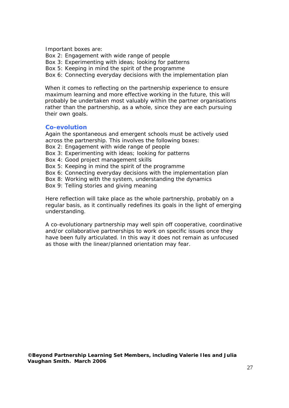Important boxes are:

Box 2: Engagement with wide range of people

Box 3: Experimenting with ideas; looking for patterns

Box 5: Keeping in mind the spirit of the programme

Box 6: Connecting everyday decisions with the implementation plan

When it comes to reflecting on the partnership experience to ensure maximum learning and more effective working in the future, this will probably be undertaken most valuably within the partner organisations rather than the partnership, as a whole, since they are each pursuing their own goals.

#### **Co-evolution**

Again the spontaneous and emergent schools must be actively used across the partnership. This involves the following boxes:

- Box 2: Engagement with wide range of people
- Box 3: Experimenting with ideas; looking for patterns
- Box 4: Good project management skills
- Box 5: Keeping in mind the spirit of the programme
- Box 6: Connecting everyday decisions with the implementation plan
- Box 8: Working with the system, understanding the dynamics
- Box 9: Telling stories and giving meaning

Here reflection will take place as the whole partnership, probably on a regular basis, as it continually redefines its goals in the light of emerging understanding.

A co-evolutionary partnership may well spin off cooperative, coordinative and/or collaborative partnerships to work on specific issues once they have been fully articulated. In this way it does not remain as unfocused as those with the linear/planned orientation may fear.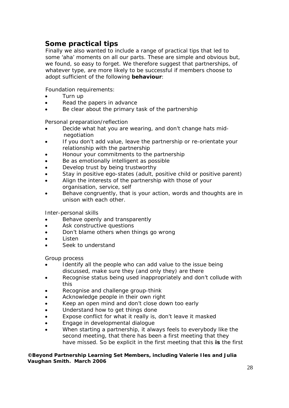# **Some practical tips**

Finally we also wanted to include a range of practical tips that led to some 'aha' moments on all our parts. These are simple and obvious but, we found, so easy to forget. We therefore suggest that partnerships, of whatever type, are more likely to be successful if members choose to adopt sufficient of the following **behaviour**:

Foundation requirements:

- Turn up
- Read the papers in advance
- Be clear about the primary task of the partnership

Personal preparation/reflection

- Decide what hat you are wearing, and don't change hats mid negotiation
- If you don't add value, leave the partnership or re-orientate your relationship with the partnership
- Honour your commitments to the partnership
- Be as emotionally intelligent as possible
- Develop trust by being trustworthy
- Stay in positive ego-states (adult, positive child or positive parent)
- Align the interests of the partnership with those of your organisation, service, self
- Behave congruently, that is your action, words and thoughts are in unison with each other.

Inter-personal skills

- Behave openly and transparently
- Ask constructive questions
- Don't blame others when things go wrong
- Listen
- Seek to understand

Group process

- Identify all the people who can add value to the issue being discussed, make sure they (and only they) are there
- Recognise status being used inappropriately and don't collude with this
- Recognise and challenge group-think
- Acknowledge people in their own right
- Keep an open mind and don't close down too early
- Understand how to get things done
- Expose conflict for what it really is, don't leave it masked
- Engage in developmental dialogue
- When starting a partnership, it always feels to everybody like the second meeting, that there has been a first meeting that they have missed. So be explicit in the first meeting that this **is** the first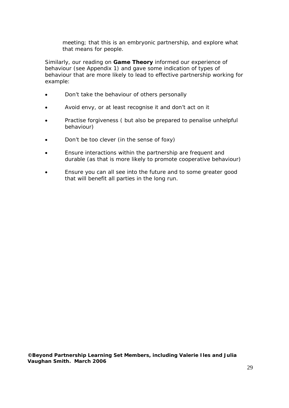meeting; that this is an embryonic partnership, and explore what that means for people.

Similarly, our reading on **Game Theory** informed our experience of behaviour (see Appendix 1) and gave some indication of types of behaviour that are more likely to lead to effective partnership working for example:

- Don't take the behaviour of others personally
- Avoid envy, or at least recognise it and don't act on it
- Practise forgiveness ( but also be prepared to penalise unhelpful behaviour)
- Don't be too clever (in the sense of foxy)
- Ensure interactions within the partnership are frequent and durable (as that is more likely to promote cooperative behaviour)
- Ensure you can all see into the future and to some greater good that will benefit all parties in the long run.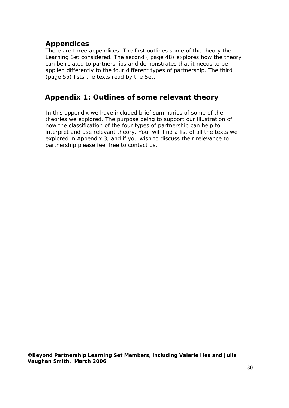# **Appendices**

There are three appendices. The first outlines some of the theory the Learning Set considered. The second ( page 48) explores how the theory can be related to partnerships and demonstrates that it needs to be applied differently to the four different types of partnership. The third (page 55) lists the texts read by the Set.

# **Appendix 1: Outlines of some relevant theory**

In this appendix we have included brief summaries of some of the theories we explored. The purpose being to support our illustration of how the classification of the four types of partnership can help to interpret and use relevant theory. You will find a list of all the texts we explored in Appendix 3, and if you wish to discuss their relevance to partnership please feel free to contact us.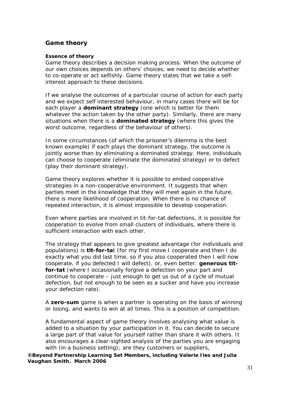## **Game theory**

#### *Essence of theory*

Game theory describes a decision making process. When the outcome of our own choices depends on others' choices, we need to decide whether to co-operate or act selfishly. Game theory states that we take a selfinterest approach to these decisions.

If we analyse the outcomes of a particular course of action for each party and we expect self interested behaviour, in many cases there will be for each player a **dominant strategy** (one which is better for them whatever the action taken by the other party). Similarly, there are many situations when there is a **dominated strategy** (where this gives the worst outcome, regardless of the behaviour of others).

In some circumstances (of which the prisoner's dilemma is the best known example) if each plays the dominant strategy, the outcome is jointly worse than by eliminating a dominated strategy. Here, individuals can choose to cooperate (eliminate the dominated strategy) or to defect (play their dominant strategy).

Game theory explores whether it is possible to embed cooperative strategies in a non-cooperative environment. It suggests that when parties meet in the knowledge that they will meet again in the future, there is more likelihood of cooperation. When there is no chance of repeated interaction, it is almost impossible to develop cooperation.

Even where parties are involved in tit-for-tat defections, it is possible for cooperation to evolve from small clusters of individuals, where there is sufficient interaction with each other.

The strategy that appears to give greatest advantage (for individuals and populations) is *tit-for-tat* (for my first move I cooperate and then I do exactly what you did last time, so if you also cooperated then I will now cooperate, if you defected I will defect), or, even better: *generous titfor-tat* (where I occasionally forgive a defection on your part and continue to cooperate – just enough to get us out of a cycle of mutual defection, but not enough to be seen as a sucker and have you increase your defection rate).

A *zero-sum* game is when a partner is operating on the basis of winning or losing, and wants to win at all times. This is a position of competition.

A fundamental aspect of game theory involves analysing what value is added to a situation by your participation in it. You can decide to secure a large part of that value for yourself rather than share it with others. It also encourages a clear-sighted analysis of the parties you are engaging with (in a business setting); are they customers or suppliers,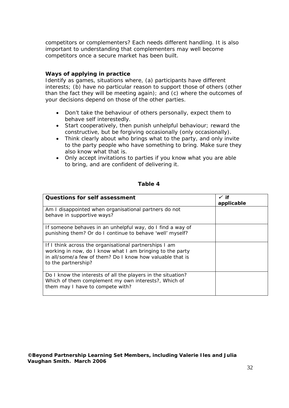competitors or complementers? Each needs different handling. It is also important to understanding that complementers may well become competitors once a secure market has been built.

## *Ways of applying in practice*

Identify as games, situations where, (a) participants have different interests; (b) have no particular reason to support those of others (other than the fact they will be meeting again); and (c) where the outcomes of your decisions depend on those of the other parties.

- Don't take the behaviour of others personally, expect them to behave self interestedly.
- Start cooperatively, then punish unhelpful behaviour; reward the constructive, but be forgiving occasionally (only occasionally).
- Think clearly about who brings what to the party, and only invite to the party people who have something to bring. Make sure they also know what that is.
- Only accept invitations to parties if you know what you are able to bring, and are confident of delivering it.

#### **Table 4**

| <b>Questions for self assessment</b>                                                                                                                                                                    | $\checkmark$ if<br>applicable |
|---------------------------------------------------------------------------------------------------------------------------------------------------------------------------------------------------------|-------------------------------|
| Am I disappointed when organisational partners do not<br>behave in supportive ways?                                                                                                                     |                               |
| If someone behaves in an unhelpful way, do I find a way of<br>punishing them? Or do I continue to behave 'well' myself?                                                                                 |                               |
| If I think across the organisational partnerships I am<br>working in now, do I know what I am bringing to the party<br>in all/some/a few of them? Do I know how valuable that is<br>to the partnership? |                               |
| Do I know the interests of all the players in the situation?<br>Which of them complement my own interests?, Which of<br>them may I have to compete with?                                                |                               |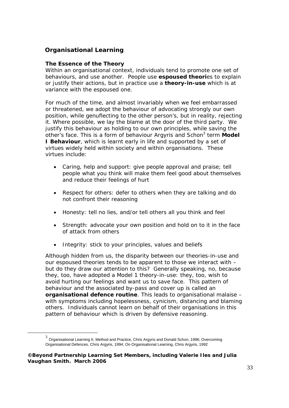# **Organisational Learning**

## *The Essence of the Theory*

Within an organisational context, individuals tend to promote one set of behaviours, and use another. People use *espoused theories* to explain or justify their actions, but in practice use a *theory-in-use* which is at variance with the espoused one.

For much of the time, and almost invariably when we feel embarrassed or threatened, we adopt the behaviour of advocating strongly our own position, while genuflecting to the other person's, but in reality, rejecting it. Where possible, we lay the blame at the door of the third party. We justify this behaviour as holding to our own principles, while saving the other's face. This is a form of behaviour Argyris and Schon<sup>3</sup> term Model **I Behaviour**, which is learnt early in life and supported by a set of virtues widely held within society and within organisations. These virtues include:

- *Caring, help and support*: give people approval and praise; tell people what you think will make them feel good about themselves and reduce their feelings of hurt
- *Respect for others*: defer to others when they are talking and do not confront their reasoning
- *Honesty*: tell no lies, and/or tell others all you think and feel
- *Strength*: advocate your own position and hold on to it in the face of attack from others
- *Integrity:* stick to your principles, values and beliefs

Although hidden from us, the disparity between our theories-in-use and our espoused theories tends to be apparent to those we interact with – but do they draw our attention to this? Generally speaking, no, because they, too, have adopted a Model 1 theory-in-use: they, too, wish to avoid hurting our feelings and want us to save face. This pattern of behaviour and the associated by-pass and cover up is called an *organisational defence routine*. This leads to organisational malaise – with symptoms including hopelessness, cynicism, distancing and blaming others. Individuals cannot learn on behalf of their organisations in this pattern of behaviour which is driven by defensive reasoning.

 $3$  Organisational Learning II, Method and Practice, Chris Argyris and Donald Schon, 1996; Overcoming Organisational Defences, Chris Argyris, 1994; On Organisational Learning, Chris Argyris, 1992

**<sup>©</sup>Beyond Partnership Learning Set Members, including Valerie Iles and Julia Vaughan Smith. March 2006**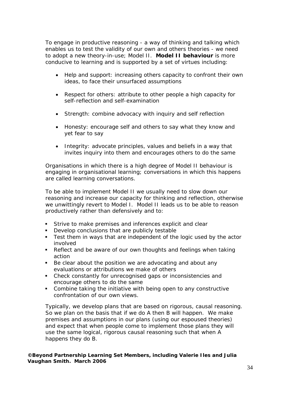To engage in productive reasoning - a way of thinking and talking which enables us to test the validity of our own and others theories - we need to adopt a new theory-in-use; Model II. **Model II behaviour** is more conducive to learning and is supported by a set of virtues including:

- *Help and support*: increasing others capacity to confront their own ideas, to face their unsurfaced assumptions
- *Respect for others*: attribute to other people a high capacity for self-reflection and self-examination
- *Strength*: combine advocacy with inquiry and self reflection
- *Honesty*: encourage self and others to say what they know and yet fear to say
- *Integrity*: advocate principles, values and beliefs in a way that invites inquiry into them and encourages others to do the same

Organisations in which there is a high degree of Model II behaviour is engaging in organisational learning; conversations in which this happens are called learning conversations.

To be able to implement Model II we usually need to slow down our reasoning and increase our capacity for thinking and reflection, otherwise we unwittingly revert to Model I. Model II leads us to be able to reason productively rather than defensively and to:

- **Strive to make premises and inferences explicit and clear**
- Develop conclusions that are publicly testable
- Test them in ways that are independent of the logic used by the actor involved
- Reflect and be aware of our own thoughts and feelings when taking action
- Be clear about the position we are advocating and about any evaluations or attributions we make of others
- Check constantly for unrecognised gaps or inconsistencies and encourage others to do the same
- **Combine taking the initiative with being open to any constructive** confrontation of our own views.

Typically, we develop plans that are based on rigorous, causal reasoning. So we plan on the basis that if we do A then B will happen. We make premises and assumptions in our plans (using our espoused theories) and expect that when people come to implement those plans they will use the same logical, rigorous causal reasoning such that when A happens they do B.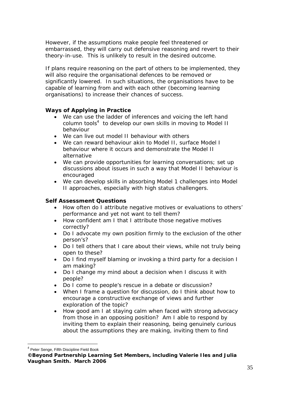However, if the assumptions make people feel threatened or embarrassed, they will carry out defensive reasoning and revert to their theory-in-use. This is unlikely to result in the desired outcome.

If plans require reasoning on the part of others to be implemented, they will also require the organisational defences to be removed or significantly lowered. In such situations, the organisations have to be capable of learning from and with each other (becoming learning organisations) to increase their chances of success.

## *Ways of Applying in Practice*

- We can use the *ladder of inferences* and *voicing the left hand*  column tools<sup>4</sup> to develop our own skills in moving to Model II behaviour
- We can live out model II behaviour with others
- We can reward behaviour akin to Model II, surface Model I behaviour where it occurs and demonstrate the Model II alternative
- We can provide opportunities for learning conversations; set up discussions about issues in such a way that Model II behaviour is encouraged
- We can develop skills in absorbing Model 1 challenges into Model II approaches, especially with high status challengers.

# *Self Assessment Questions*

- How often do I attribute negative motives or evaluations to others' performance and yet not want to tell them?
- How confident am I that I attribute those negative motives correctly?
- Do I advocate my own position firmly to the exclusion of the other person's?
- Do I tell others that I care about their views, while not truly being open to these?
- Do I find myself blaming or invoking a third party for a decision I am making?
- Do I change my mind about a decision when I discuss it with people?
- Do I come to people's rescue in a debate or discussion?
- When I frame a question for discussion, do I think about how to encourage a constructive exchange of views and further exploration of the topic?
- How good am I at staying calm when faced with strong advocacy from those in an opposing position? Am I able to respond by inviting them to explain their reasoning, being genuinely curious about the assumptions they are making, inviting them to find

 $\overline{a}$ <sup>4</sup> Peter Senge, Fifth Discipline Field Book

**<sup>©</sup>Beyond Partnership Learning Set Members, including Valerie Iles and Julia Vaughan Smith. March 2006**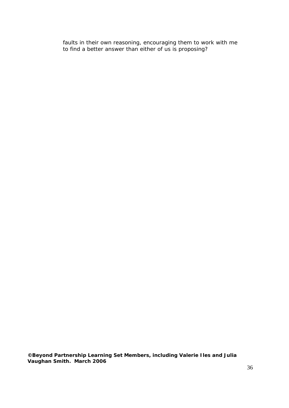faults in their own reasoning, encouraging them to work with me to find a better answer than either of us is proposing?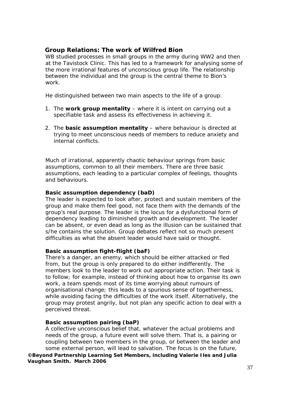# **Group Relations: The work of Wilfred Bion**

WB studied processes in small groups in the army during WW2 and then at the Tavistock Clinic. This has led to a framework for analysing some of the more irrational features of unconscious group life. The relationship between the individual and the group is the central theme to Bion's work.

He distinguished between two main aspects to the life of a group:

- 1. The **work group mentality** where it is intent on carrying out a specifiable task and assess its effectiveness in achieving it.
- 2. The **basic assumption mentality** where behaviour is directed at trying to meet unconscious needs of members to reduce anxiety and internal conflicts.

Much of irrational, apparently chaotic behaviour springs from basic assumptions, common to all their members. There are three basic assumptions, each leading to a particular complex of feelings, thoughts and behaviours.

## **Basic assumption dependency (baD)**

The leader is expected to look after, protect and sustain members of the group and make them feel good, not face them with the demands of the group's real purpose. The leader is the locus for a dysfunctional form of dependency leading to diminished growth and development. The leader can be absent, or even dead as long as the illusion can be sustained that s/he contains the solution. Group debates reflect not so much present difficulties as what the absent leader would have said or thought.

#### **Basic assumption fight-flight (baF)**

There's a danger, an enemy, which should be either attacked or fled from, but the group is only prepared to do either indifferently. The members look to the leader to work out appropriate action. Their task is to follow; for example, instead of thinking about how to organise its own work, a team spends most of its time worrying about rumours of organisational change; this leads to a spurious sense of togetherness, while avoiding facing the difficulties of the work itself. Alternatively, the group may protest angrily, but not plan any specific action to deal with a perceived threat.

#### **Basic assumption pairing (baP)**

A collective unconscious belief that, whatever the actual problems and needs of the group, a future event will solve them. That is, a pairing or coupling between two members in the group, or between the leader and some external person, will lead to salvation. The focus is on the future, **©Beyond Partnership Learning Set Members, including Valerie Iles and Julia Vaughan Smith. March 2006**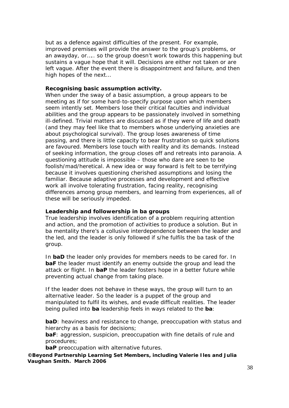but as a defence against difficulties of the present. For example, improved premises will provide the answer to the group's problems, or an awayday, or….. so the group doesn't work towards this happening but sustains a vague hope that it will. Decisions are either not taken or are left vague. After the event there is disappointment and failure, and then high hopes of the next…

#### **Recognising basic assumption activity.**

When under the sway of a basic assumption, a group appears to be meeting as if for some hard-to-specify purpose upon which members seem intently set. Members lose their critical faculties and individual abilities and the group appears to be passionately involved in something ill-defined. Trivial matters are discussed as if they were of life and death (and they may feel like that to members whose underlying anxieties are about psychological survival). The group loses awareness of time passing, and there is little capacity to bear frustration so quick solutions are favoured. Members lose touch with reality and its demands. Instead of seeking information, the group closes off and retreats into paranoia. A questioning attitude is impossible – those who dare are seen to be foolish/mad/heretical. A new idea or way forward is felt to be terrifying because it involves questioning cherished assumptions and losing the familiar. Because adaptive processes and development and effective work all involve tolerating frustration, facing reality, recognising differences among group members, and learning from experiences, all of these will be seriously impeded.

#### **Leadership and followership in ba groups**

True leadership involves identification of a problem requiring attention and action, and the promotion of activities to produce a solution. But in ba mentality there's a collusive interdependence between the leader and the led, and the leader is only followed if s/he fulfils the ba task of the group.

In **baD** the leader only provides for members needs to be cared for. In **baF** the leader must identify an enemy outside the group and lead the attack or flight. In **baP** the leader fosters hope in a better future while preventing actual change from taking place.

If the leader does not behave in these ways, the group will turn to an alternative leader. So the leader is a puppet of the group and manipulated to fulfil its wishes, and evade difficult realities. The leader being pulled into **ba** leadership feels in ways related to the **ba**:

**baD**: heaviness and resistance to change, preoccupation with status and hierarchy as a basis for decisions;

**baF**: aggression, suspicion, preoccupation with fine details of rule and procedures;

**baP** preoccupation with alternative futures.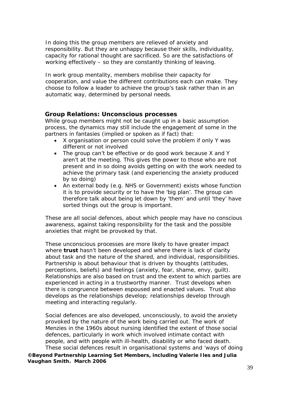In doing this the group members are relieved of anxiety and responsibility. But they are unhappy because their skills, individuality, capacity for rational thought are sacrificed. So are the satisfactions of working effectively – so they are constantly thinking of leaving.

In work group mentality, members mobilise their capacity for cooperation, and value the different contributions each can make. They choose to follow a leader to achieve the group's task rather than in an automatic way, determined by personal needs.

#### **Group Relations: Unconscious processes**

While group members might not be caught up in a basic assumption process, the dynamics may still include the engagement of some in the partners in fantasies (implied or spoken as if fact) that:

- X organisation or person could solve the problem if only Y was different or not involved
- The group can't be effective or do good work because X and Y aren't at the meeting. This gives the power to those who are not present and in so doing avoids getting on with the work needed to achieve the primary task (and experiencing the anxiety produced by so doing)
- An external body (e.g. NHS or Government) exists whose function it is to provide security or to have the 'big plan'. The group can therefore talk about being let down by 'them' and until 'they' have sorted things out the group is important.

These are all social defences, about which people may have no conscious awareness, against taking responsibility for the task and the possible anxieties that might be provoked by that.

These unconscious processes are more likely to have greater impact where **trust** hasn't been developed and where there is lack of clarity about task and the nature of the shared, and individual, responsibilities. Partnership is about behaviour that is driven by thoughts (attitudes, perceptions, beliefs) and feelings (anxiety, fear, shame, envy, guilt). Relationships are also based on trust and the extent to which parties are experienced in acting in a trustworthy manner. Trust develops when there is congruence between espoused and enacted values. Trust also develops as the relationships develop; relationships develop through meeting and interacting regularly.

Social defences are also developed, unconsciously, to avoid the anxiety provoked by the nature of the work being carried out. The work of Menzies in the 1960s about nursing identified the extent of those social defences, particularly in work which involved intimate contact with people, and with people with ill-health, disability or who faced death. These social defences result in organisational systems and 'ways of doing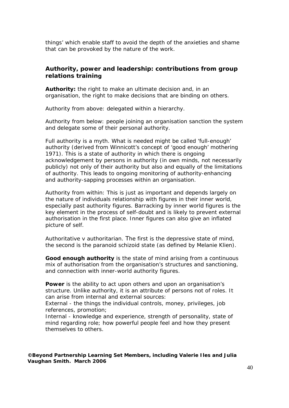things' which enable staff to avoid the depth of the anxieties and shame that can be provoked by the nature of the work.

## **Authority, power and leadership: contributions from group relations training**

*Authority***:** the right to make an ultimate decision and, in an organisation, the right to make decisions that are binding on others.

*Authority from above*: delegated within a hierarchy.

*Authority from below:* people joining an organisation sanction the system and delegate some of their personal authority.

Full authority is a myth. What is needed might be called 'full-enough' authority (derived from Winnicott's concept of 'good enough' mothering 1971). This is a state of authority in which there is ongoing acknowledgement by persons in authority (in own minds, not necessarily publicly) not only of their authority but also and equally of the limitations of authority. This leads to ongoing monitoring of authority-enhancing and authority-sapping processes within an organisation.

*Authority from within*: This is just as important and depends largely on the nature of individuals relationship with figures in their inner world, especially past authority figures. Barracking by inner world figures is the key element in the process of self-doubt and is likely to prevent external authorisation in the first place. Inner figures can also give an inflated picture of self.

*Authoritative v authoritarian*. The first is the depressive state of mind, the second is the paranoid schizoid state (as defined by Melanie Klien).

*Good enough authority* is the state of mind arising from a continuous mix of authorisation from the organisation's structures and sanctioning, and connection with inner-world authority figures.

**Power** is the ability to act upon others and upon an organisation's structure. Unlike authority, it is an attribute of persons not of roles. It can arise from internal and external sources:

*External* - the things the individual controls, money, privileges, job references, promotion;

*Internal* - knowledge and experience, strength of personality, state of mind regarding role; how powerful people feel and how they present themselves to others.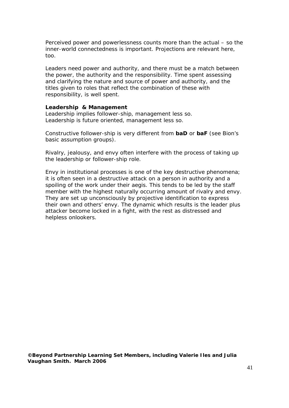*Perceived* power and powerlessness counts more than the actual – so the inner-world connectedness is important. Projections are relevant here, too.

Leaders need power and authority, and there must be a match between the power, the authority and the responsibility. Time spent assessing and clarifying the nature and source of power and authority, and the titles given to roles that reflect the combination of these with responsibility, is well spent.

#### *Leadership & Management*

*Leadership* implies follower-ship, *management* less so. *Leadership* is future oriented, *management* less so.

Constructive follower-ship is very different from **baD** or **baF** (see Bion's basic assumption groups).

Rivalry, jealousy, and envy often interfere with the process of taking up the leadership or follower-ship role.

Envy in institutional processes is one of the key destructive phenomena; it is often seen in a destructive attack on a person in authority and a spoiling of the work under their aegis. This tends to be led by the staff member with the highest naturally occurring amount of rivalry and envy. They are set up unconsciously by projective identification to express their own and others' envy. The dynamic which results is the leader plus attacker become locked in a fight, with the rest as distressed and helpless onlookers.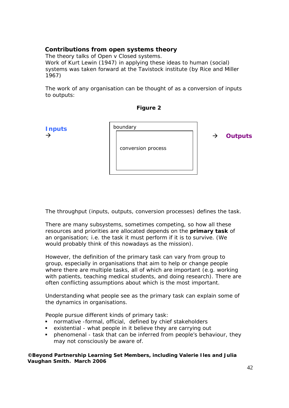# **Contributions from open systems theory**

The theory talks of Open v Closed systems. Work of Kurt Lewin (1947) in applying these ideas to human (social) systems was taken forward at the Tavistock institute (by Rice and Miller 1967)

The work of any organisation can be thought of as a conversion of inputs to outputs:

**Figure 2** 



The throughput (inputs, outputs, conversion processes) defines the task.

There are many subsystems, sometimes competing, so how all these resources and priorities are allocated depends on the **primary task** of an organisation; i.e. the task it must perform if it is to survive. *(We would probably think of this nowadays as the mission)*.

However, the definition of the primary task can vary from group to group, especially in organisations that aim to help or change people where there are multiple tasks, all of which are important (e.g. working with patients, teaching medical students, and doing research). There are often conflicting assumptions about which is the most important.

Understanding what people see as the primary task can explain some of the dynamics in organisations.

People pursue different kinds of primary task:

- normative -formal, official, defined by chief stakeholders
- existential what people in it believe they are carrying out
- phenomenal task that can be inferred from people's behaviour, they may not consciously be aware of.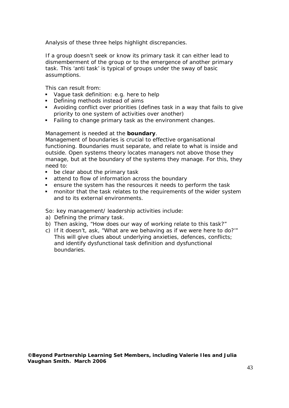Analysis of these three helps highlight discrepancies.

If a group doesn't seek or know its primary task it can either lead to dismemberment of the group or to the emergence of another primary task. This 'anti task' is typical of groups under the sway of basic assumptions.

This can result from:

- Vague task definition: e.g. here to help
- **•** Defining methods instead of aims
- Avoiding conflict over priorities (defines task in a way that fails to give priority to one system of activities over another)
- **Failing to change primary task as the environment changes.**

#### Management is needed at the **boundary**.

Management of boundaries is crucial to effective organisational functioning. Boundaries must separate, and relate to what is inside and outside. Open systems theory locates managers not above those they manage, but at the boundary of the systems they manage. For this, they need to:

- **be clear about the primary task**
- **attend to flow of information across the boundary**
- ensure the system has the resources it needs to perform the task
- **n** monitor that the task relates to the requirements of the wider system and to its external environments.

So: key management/ leadership activities include:

- a) Defining the primary task.
- b) Then asking, "How does our way of working relate to this task?"
- c) If it doesn't, ask, "What are we behaving as if we were here to do?'" This will give clues about underlying anxieties, defences, conflicts; and identify dysfunctional task definition and dysfunctional boundaries.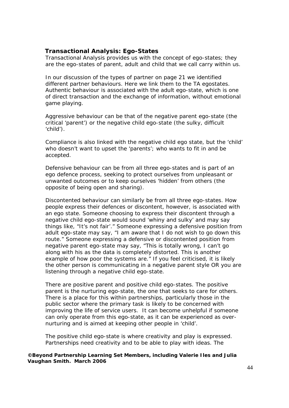## **Transactional Analysis: Ego-States**

Transactional Analysis provides us with the concept of ego-states; they are the ego-states of parent, adult and child that we call carry within us.

In our discussion of the types of partner on page 21 we identified different partner behaviours. Here we link them to the TA egostates. Authentic behaviour is associated with the adult ego-state, which is one of direct transaction and the exchange of information, without emotional game playing.

Aggressive behaviour can be that of the negative parent ego-state (the critical 'parent') or the negative child ego-state (the sulky, difficult 'child').

Compliance is also linked with the negative child ego state, but the 'child' who doesn't want to upset the 'parents'; who wants to fit in and be accepted.

Defensive behaviour can be from all three ego-states and is part of an ego defence process, seeking to protect ourselves from unpleasant or unwanted outcomes or to keep ourselves 'hidden' from others (the opposite of being open and sharing).

Discontented behaviour can similarly be from all three ego-states. How people express their defences or discontent, however, is associated with an ego state. Someone choosing to express their discontent through a negative child ego-state would sound 'whiny and sulky' and may say things like, "It's not fair'." Someone expressing a defensive position from adult ego-state may say, "I am aware that I do not wish to go down this route." Someone expressing a defensive or discontented position from negative parent ego-state may say, "This is totally wrong, I can't go along with his as the data is completely distorted. This is another example of how poor the systems are." If you feel criticised, it is likely the other person is communicating in a negative parent style OR you are listening through a negative child ego-state.

There are positive parent and positive child ego-states. The positive parent is the nurturing ego-state, the one that seeks to care for others. There is a place for this within partnerships, particularly those in the public sector where the primary task is likely to be concerned with improving the life of service users. It can become unhelpful if someone can only operate from this ego-state, as it can be experienced as overnurturing and is aimed at keeping other people in 'child'.

The positive child ego-state is where creativity and play is expressed. Partnerships need creativity and to be able to play with ideas. The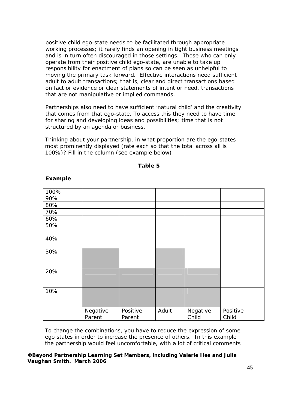positive child ego-state needs to be facilitated through appropriate working processes; it rarely finds an opening in tight business meetings and is in turn often discouraged in those settings. Those who can only operate from their positive child ego-state, are unable to take up responsibility for enactment of plans so can be seen as unhelpful to moving the primary task forward. Effective interactions need sufficient adult to adult transactions; that is, clear and direct transactions based on fact or evidence or clear statements of intent or need, transactions that are not manipulative or implied commands.

Partnerships also need to have sufficient 'natural child' and the creativity that comes from that ego-state. To access this they need to have time for sharing and developing ideas and possibilities; time that is not structured by an agenda or business.

Thinking about your partnership, in what proportion are the ego-states most prominently displayed (rate each so that the total across all is 100%)? Fill in the column (see example below)

**Table 5** 

| 100% |                    |                    |       |                   |                   |
|------|--------------------|--------------------|-------|-------------------|-------------------|
| 90%  |                    |                    |       |                   |                   |
| 80%  |                    |                    |       |                   |                   |
| 70%  |                    |                    |       |                   |                   |
| 60%  |                    |                    |       |                   |                   |
| 50%  |                    |                    |       |                   |                   |
| 40%  |                    |                    |       |                   |                   |
| 30%  |                    |                    |       |                   |                   |
| 20%  |                    |                    |       |                   |                   |
| 10%  |                    |                    |       |                   |                   |
|      | Negative<br>Parent | Positive<br>Parent | Adult | Negative<br>Child | Positive<br>Child |

#### **Example**

To change the combinations, you have to reduce the expression of some ego states in order to increase the presence of others. In this example the partnership would feel uncomfortable, with a lot of critical comments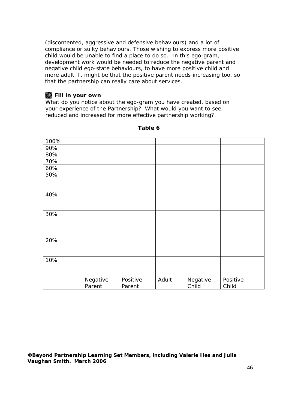(discontented, aggressive and defensive behaviours) and a lot of compliance or sulky behaviours. Those wishing to express more positive child would be unable to find a place to do so. In this ego-gram, development work would be needed to reduce the negative parent and negative child ego-state behaviours, to have more positive child and more adult. It might be that the positive parent needs increasing too, so that the partnership can really care about services.

# **W** Fill in your own

What do you notice about the ego-gram you have created, based on your experience of the Partnership? What would you want to see reduced and increased for more effective partnership working?

| 100% |                    |                    |       |                   |                   |
|------|--------------------|--------------------|-------|-------------------|-------------------|
| 90%  |                    |                    |       |                   |                   |
| 80%  |                    |                    |       |                   |                   |
| 70%  |                    |                    |       |                   |                   |
| 60%  |                    |                    |       |                   |                   |
| 50%  |                    |                    |       |                   |                   |
| 40%  |                    |                    |       |                   |                   |
| 30%  |                    |                    |       |                   |                   |
| 20%  |                    |                    |       |                   |                   |
| 10%  |                    |                    |       |                   |                   |
|      | Negative<br>Parent | Positive<br>Parent | Adult | Negative<br>Child | Positive<br>Child |

**Table 6**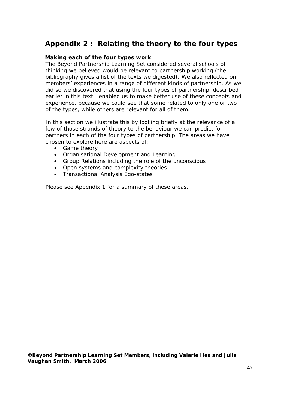# **Appendix 2 : Relating the theory to the four types**

#### **Making each of the four types work**

The Beyond Partnership Learning Set considered several schools of thinking we believed would be relevant to partnership working (the bibliography gives a list of the texts we digested). We also reflected on members' experiences in a range of different kinds of partnership. As we did so we discovered that using the four types of partnership, described earlier in this text, enabled us to make better use of these concepts and experience, because we could see that some related to only one or two of the types, while others are relevant for all of them.

In this section we illustrate this by looking briefly at the relevance of a few of those strands of theory to the behaviour we can predict for partners in each of the four types of partnership. The areas we have chosen to explore here are aspects of:

- Game theory
- Organisational Development and Learning
- Group Relations including the role of the unconscious
- Open systems and complexity theories
- Transactional Analysis Ego-states

Please see Appendix 1 for a summary of these areas.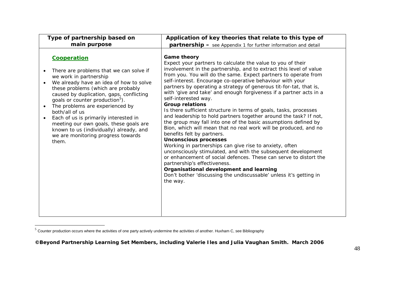| Type of partnership based on                                                                                                                                                                                                                                                                                                                                                                                                                                                                                                          | Application of key theories that relate to this type of                                                                                                                                                                                                                                                                                                                                                                                                                                                                                                                                                                                                                                                                                                                                                                                                                                                                                                                                                                                                                                                                                                                                     |
|---------------------------------------------------------------------------------------------------------------------------------------------------------------------------------------------------------------------------------------------------------------------------------------------------------------------------------------------------------------------------------------------------------------------------------------------------------------------------------------------------------------------------------------|---------------------------------------------------------------------------------------------------------------------------------------------------------------------------------------------------------------------------------------------------------------------------------------------------------------------------------------------------------------------------------------------------------------------------------------------------------------------------------------------------------------------------------------------------------------------------------------------------------------------------------------------------------------------------------------------------------------------------------------------------------------------------------------------------------------------------------------------------------------------------------------------------------------------------------------------------------------------------------------------------------------------------------------------------------------------------------------------------------------------------------------------------------------------------------------------|
| main purpose                                                                                                                                                                                                                                                                                                                                                                                                                                                                                                                          | <b>partnership</b> - see Appendix 1 for further information and detail                                                                                                                                                                                                                                                                                                                                                                                                                                                                                                                                                                                                                                                                                                                                                                                                                                                                                                                                                                                                                                                                                                                      |
| Cooperation<br>There are problems that we can solve if<br>$\bullet$<br>we work in partnership<br>We already have an idea of how to solve<br>these problems (which are probably<br>caused by duplication, gaps, conflicting<br>goals or counter production <sup>5</sup> ).<br>The problems are experienced by<br>$\bullet$<br>both/all of us<br>Each of us is primarily interested in<br>$\bullet$<br>meeting our own goals, these goals are<br>known to us (individually) already, and<br>we are monitoring progress towards<br>them. | Game theory<br>Expect your partners to calculate the value to you of their<br>involvement in the partnership, and to extract this level of value<br>from you. You will do the same. Expect partners to operate from<br>self-interest. Encourage co-operative behaviour with your<br>partners by operating a strategy of generous tit-for-tat, that is,<br>with 'give and take' and enough forgiveness if a partner acts in a<br>self-interested way.<br><b>Group relations</b><br>Is there sufficient structure in terms of goals, tasks, processes<br>and leadership to hold partners together around the task? If not,<br>the group may fall into one of the basic assumptions defined by<br>Bion, which will mean that no real work will be produced, and no<br>benefits felt by partners.<br><b>Unconscious processes</b><br>Working in partnerships can give rise to anxiety, often<br>unconsciously stimulated, and with the subsequent development<br>or enhancement of social defences. These can serve to distort the<br>partnership's effectiveness.<br>Organisational development and learning<br>Don't bother 'discussing the undiscussable' unless it's getting in<br>the way. |

 $^5$  Counter production occurs where the activities of one party actively undermine the activities of another. Huxham C, see Bibliography

**<sup>©</sup>Beyond Partnership Learning Set Members, including Valerie Iles and Julia Vaughan Smith. March 2006**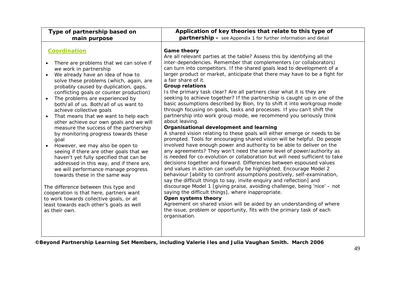| Type of partnership based on                                                                                                                                                                                                                                                                                                                                                                                                                                                                                                                                                                                                                                                                                                                                                                                                                                                                                                                                                                | Application of key theories that relate to this type of                                                                                                                                                                                                                                                                                                                                                                                                                                                                                                                                                                                                                                                                                                                                                                                                                                                                                                                                                                                                                                                                                                                                                                                                                                                                                                                                                                                                                                                                                                                                                                                                                                                                                                                                                                                                        |
|---------------------------------------------------------------------------------------------------------------------------------------------------------------------------------------------------------------------------------------------------------------------------------------------------------------------------------------------------------------------------------------------------------------------------------------------------------------------------------------------------------------------------------------------------------------------------------------------------------------------------------------------------------------------------------------------------------------------------------------------------------------------------------------------------------------------------------------------------------------------------------------------------------------------------------------------------------------------------------------------|----------------------------------------------------------------------------------------------------------------------------------------------------------------------------------------------------------------------------------------------------------------------------------------------------------------------------------------------------------------------------------------------------------------------------------------------------------------------------------------------------------------------------------------------------------------------------------------------------------------------------------------------------------------------------------------------------------------------------------------------------------------------------------------------------------------------------------------------------------------------------------------------------------------------------------------------------------------------------------------------------------------------------------------------------------------------------------------------------------------------------------------------------------------------------------------------------------------------------------------------------------------------------------------------------------------------------------------------------------------------------------------------------------------------------------------------------------------------------------------------------------------------------------------------------------------------------------------------------------------------------------------------------------------------------------------------------------------------------------------------------------------------------------------------------------------------------------------------------------------|
| main purpose                                                                                                                                                                                                                                                                                                                                                                                                                                                                                                                                                                                                                                                                                                                                                                                                                                                                                                                                                                                | partnership - see Appendix 1 for further information and detail                                                                                                                                                                                                                                                                                                                                                                                                                                                                                                                                                                                                                                                                                                                                                                                                                                                                                                                                                                                                                                                                                                                                                                                                                                                                                                                                                                                                                                                                                                                                                                                                                                                                                                                                                                                                |
| <b>Coordination</b><br>There are problems that we can solve if<br>we work in partnership<br>We already have an idea of how to<br>solve these problems (which, again, are<br>probably caused by duplication, gaps,<br>conflicting goals or counter production)<br>The problems are experienced by<br>both/all of us. Both/all of us want to<br>achieve collective goals<br>That means that we want to help each<br>other achieve our own goals and we will<br>measure the success of the partnership<br>by monitoring progress towards these<br>goal<br>However, we may also be open to<br>seeing if there are other goals that we<br>haven't yet fully specified that can be<br>addressed in this way, and if there are,<br>we will performance manage progress<br>towards these in the same way<br>The difference between this type and<br>cooperation is that here, partners want<br>to work towards collective goals, or at<br>least towards each other's goals as well<br>as their own. | <b>Game theory</b><br>Are all relevant parties at the table? Assess this by identifying all the<br>inter-dependencies. Remember that complementers (or collaborators)<br>can turn into competitors. If the shared goals lead to development of a<br>larger product or market, anticipate that there may have to be a fight for<br>a fair share of it.<br><b>Group relations</b><br>Is the primary task clear? Are all partners clear what it is they are<br>seeking to achieve together? If the partnership is caught up in one of the<br>basic assumptions described by Bion, try to shift it into workgroup mode<br>through focusing on goals, tasks and processes. If you can't shift the<br>partnership into work group mode, we recommend you seriously think<br>about leaving.<br>Organisational development and learning<br>A shared vision relating to these goals will either emerge or needs to be<br>prompted. Tools for encouraging shared vision will be helpful. Do people<br>involved have enough power and authority to be able to deliver on the<br>any agreements? They won't need the same level of power/authority as<br>is needed for co-evolution or collaboration but will need sufficient to take<br>decisions together and forward. Differences between espoused values<br>and values in action can usefully be highlighted. Encourage Model 2<br>behaviour [ability to confront assumptions positively, self-examination,<br>say the difficult things to say, invite enquiry and reflection] and<br>discourage Model 1 [giving praise, avoiding challenge, being 'nice' - not<br>saying the difficult things], where inappropriate.<br><b>Open systems theory</b><br>Agreement on shared vision will be aided by an understanding of where<br>the issue, problem or opportunity, fits with the primary task of each<br>organisation. |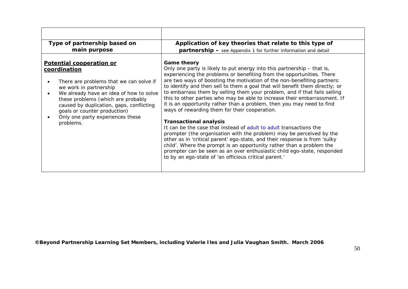| Type of partnership based on                                                                                                                                                                                                                                                                                                | Application of key theories that relate to this type of                                                                                                                                                                                                                                                                                                                                                                                                                                                                                                                                                                                                                                                                                                                                                                                                                                                                                                                                                                                                                                        |
|-----------------------------------------------------------------------------------------------------------------------------------------------------------------------------------------------------------------------------------------------------------------------------------------------------------------------------|------------------------------------------------------------------------------------------------------------------------------------------------------------------------------------------------------------------------------------------------------------------------------------------------------------------------------------------------------------------------------------------------------------------------------------------------------------------------------------------------------------------------------------------------------------------------------------------------------------------------------------------------------------------------------------------------------------------------------------------------------------------------------------------------------------------------------------------------------------------------------------------------------------------------------------------------------------------------------------------------------------------------------------------------------------------------------------------------|
| main purpose                                                                                                                                                                                                                                                                                                                | <b>partnership</b> – see Appendix 1 for further information and detail                                                                                                                                                                                                                                                                                                                                                                                                                                                                                                                                                                                                                                                                                                                                                                                                                                                                                                                                                                                                                         |
| Potential cooperation or<br>coordination<br>There are problems that we can solve if<br>we work in partnership<br>We already have an idea of how to solve<br>these problems (which are probably<br>caused by duplication, gaps, conflicting<br>goals or counter production)<br>Only one party experiences these<br>problems. | <b>Game theory</b><br>Only one party is likely to put energy into this partnership – that is,<br>experiencing the problems or benefiting from the opportunities. There<br>are two ways of boosting the motivation of the non-benefiting partners:<br>to identify and then sell to them a goal that will benefit them directly; or<br>to embarrass them by selling them your problem, and if that fails selling<br>this to other parties who may be able to increase their embarrassment. If<br>it is an opportunity rather than a problem, then you may need to find<br>ways of rewarding them for their cooperation.<br><b>Transactional analysis</b><br>It can be the case that instead of adult to adult transactions the<br>prompter (the organisation with the problem) may be perceived by the<br>other as in 'critical parent' ego-state, and their response is from 'sulky<br>child'. Where the prompt is an opportunity rather than a problem the<br>prompter can be seen as an over enthusiastic child ego-state, responded<br>to by an ego-state of 'an officious critical parent.' |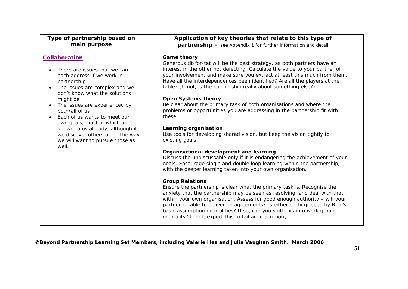| Type of partnership based on                                                                                                                                                                                                                                                                                                                                                                                                                                               | Application of key theories that relate to this type of                                                                                                                                                                                                                                                                                                                                                                                                                                                                                                                                                                                                                                                                                                                                                                                                                                                                                                                                                                                                                                                                                                                                                                                                                                                                                                                                                                                                                            |
|----------------------------------------------------------------------------------------------------------------------------------------------------------------------------------------------------------------------------------------------------------------------------------------------------------------------------------------------------------------------------------------------------------------------------------------------------------------------------|------------------------------------------------------------------------------------------------------------------------------------------------------------------------------------------------------------------------------------------------------------------------------------------------------------------------------------------------------------------------------------------------------------------------------------------------------------------------------------------------------------------------------------------------------------------------------------------------------------------------------------------------------------------------------------------------------------------------------------------------------------------------------------------------------------------------------------------------------------------------------------------------------------------------------------------------------------------------------------------------------------------------------------------------------------------------------------------------------------------------------------------------------------------------------------------------------------------------------------------------------------------------------------------------------------------------------------------------------------------------------------------------------------------------------------------------------------------------------------|
| main purpose                                                                                                                                                                                                                                                                                                                                                                                                                                                               | partnership - see Appendix 1 for further information and detail                                                                                                                                                                                                                                                                                                                                                                                                                                                                                                                                                                                                                                                                                                                                                                                                                                                                                                                                                                                                                                                                                                                                                                                                                                                                                                                                                                                                                    |
| <b>Collaboration</b><br>There are issues that we can<br>$\bullet$<br>each address if we work in<br>partnership<br>The issues are complex and we<br>$\bullet$<br>don't know what the solutions<br>might be<br>The issues are experienced by<br>$\bullet$<br>both/all of us<br>Each of us wants to meet our<br>$\bullet$<br>own goals, most of which are<br>known to us already, although if<br>we discover others along the way<br>we will want to pursue those as<br>well. | <b>Game theory</b><br>Generous tit-for-tat will be the best strategy, as both partners have an<br>interest in the other not defecting. Calculate the value to your partner of<br>your involvement and make sure you extract at least this much from them.<br>Have all the interdependences been identified? Are all the players at the<br>table? (If not, is the partnership really about something else?)<br><b>Open Systems theory</b><br>Be clear about the primary task of both organisations and where the<br>problems or opportunities you are addressing in the partnership fit with<br>these.<br>Learning organisation<br>Use tools for developing shared vision, but keep the vision tightly to<br>existing goals.<br>Organisational development and learning<br>Discuss the undiscussable only if it is endangering the achievement of your<br>goals. Encourage single and double loop learning within the partnership,<br>with the deeper learning taken into your own organisation.<br><b>Group Relations</b><br>Ensure the partnership is clear what the primary task is. Recognise the<br>anxiety that the partnership may be seen as resolving, and deal with that<br>within your own organisation. Assess for good enough authority - will your<br>partner be able to deliver on agreements? Is either party gripped by Bion's<br>basic assumption mentalities? If so, can you shift this into work group<br>mentality? If not, expect this to fail amid acrimony. |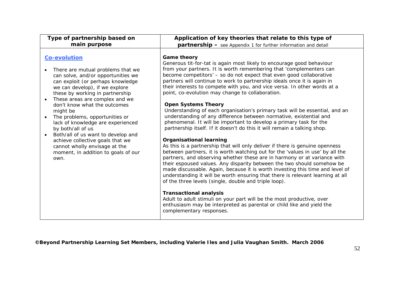| Type of partnership based on                                                                                                                                                                                                                                                                                                                                                                                                                                                                                                                                                                     | Application of key theories that relate to this type of                                                                                                                                                                                                                                                                                                                                                                                                                                                                                                                                                                                                                                                                                                                                                                                                                                                                                                                                                                                                                                                                                                                                                                                                                                                                                                                                                                                                                                                                                                                                        |
|--------------------------------------------------------------------------------------------------------------------------------------------------------------------------------------------------------------------------------------------------------------------------------------------------------------------------------------------------------------------------------------------------------------------------------------------------------------------------------------------------------------------------------------------------------------------------------------------------|------------------------------------------------------------------------------------------------------------------------------------------------------------------------------------------------------------------------------------------------------------------------------------------------------------------------------------------------------------------------------------------------------------------------------------------------------------------------------------------------------------------------------------------------------------------------------------------------------------------------------------------------------------------------------------------------------------------------------------------------------------------------------------------------------------------------------------------------------------------------------------------------------------------------------------------------------------------------------------------------------------------------------------------------------------------------------------------------------------------------------------------------------------------------------------------------------------------------------------------------------------------------------------------------------------------------------------------------------------------------------------------------------------------------------------------------------------------------------------------------------------------------------------------------------------------------------------------------|
| main purpose                                                                                                                                                                                                                                                                                                                                                                                                                                                                                                                                                                                     | <b>partnership</b> - see Appendix 1 for further information and detail                                                                                                                                                                                                                                                                                                                                                                                                                                                                                                                                                                                                                                                                                                                                                                                                                                                                                                                                                                                                                                                                                                                                                                                                                                                                                                                                                                                                                                                                                                                         |
| <b>Co-evolution</b><br>There are mutual problems that we<br>$\bullet$<br>can solve, and/or opportunities we<br>can exploit (or perhaps knowledge<br>we can develop), if we explore<br>these by working in partnership<br>These areas are complex and we<br>$\bullet$<br>don't know what the outcomes<br>might be<br>The problems, opportunities or<br>$\bullet$<br>lack of knowledge are experienced<br>by both/all of us<br>Both/all of us want to develop and<br>$\bullet$<br>achieve collective goals that we<br>cannot wholly envisage at the<br>moment, in addition to goals of our<br>own. | <b>Game theory</b><br>Generous tit-for-tat is again most likely to encourage good behaviour<br>from your partners. It is worth remembering that 'complementers can<br>become competitors' - so do not expect that even good collaborative<br>partners will continue to work to partnership ideals once it is again in<br>their interests to compete with you, and vice versa. In other words at a<br>point, co-evolution may change to collaboration.<br><b>Open Systems Theory</b><br>Understanding of each organisation's primary task will be essential, and an<br>understanding of any difference between normative, existential and<br>phenomenal. It will be important to develop a primary task for the<br>partnership itself. If it doesn't do this it will remain a talking shop.<br><b>Organisational learning</b><br>As this is a partnership that will only deliver if there is genuine openness<br>between partners, it is worth watching out for the 'values in use' by all the<br>partners, and observing whether these are in harmony or at variance with<br>their espoused values. Any disparity between the two should somehow be<br>made discussable. Again, because it is worth investing this time and level of<br>understanding it will be worth ensuring that there is relevant learning at all<br>of the three levels (single, double and triple loop).<br><b>Transactional analysis</b><br>Adult to adult stimuli on your part will be the most productive, over<br>enthusiasm may be interpreted as parental or child like and yield the<br>complementary responses. |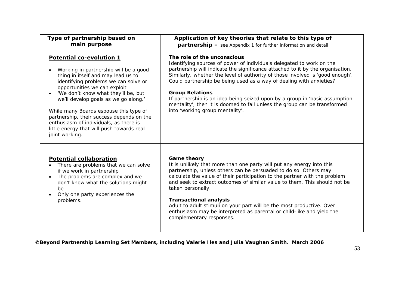| Type of partnership based on                                                                                                                                                                                                                                                                                                                                                                                                                                                | Application of key theories that relate to this type of                                                                                                                                                                                                                                                                                                                                                                                                                                                                                                                |
|-----------------------------------------------------------------------------------------------------------------------------------------------------------------------------------------------------------------------------------------------------------------------------------------------------------------------------------------------------------------------------------------------------------------------------------------------------------------------------|------------------------------------------------------------------------------------------------------------------------------------------------------------------------------------------------------------------------------------------------------------------------------------------------------------------------------------------------------------------------------------------------------------------------------------------------------------------------------------------------------------------------------------------------------------------------|
| main purpose                                                                                                                                                                                                                                                                                                                                                                                                                                                                | <b>partnership</b> - see Appendix 1 for further information and detail                                                                                                                                                                                                                                                                                                                                                                                                                                                                                                 |
| Potential co-evolution 1<br>Working in partnership will be a good<br>thing in itself and may lead us to<br>identifying problems we can solve or<br>opportunities we can exploit<br>'We don't know what they'll be, but<br>$\bullet$<br>we'll develop goals as we go along.'<br>While many Boards espouse this type of<br>partnership, their success depends on the<br>enthusiasm of individuals, as there is<br>little energy that will push towards real<br>joint working. | The role of the unconscious<br>Identifying sources of power of individuals delegated to work on the<br>partnership will indicate the significance attached to it by the organisation.<br>Similarly, whether the level of authority of those involved is 'good enough'.<br>Could partnership be being used as a way of dealing with anxieties?<br><b>Group Relations</b><br>If partnership is an idea being seized upon by a group in 'basic assumption<br>mentality', then it is doomed to fail unless the group can be transformed<br>into 'working group mentality'. |
| <b>Potential collaboration</b><br>There are problems that we can solve<br>$\bullet$<br>if we work in partnership<br>The problems are complex and we<br>$\bullet$<br>don't know what the solutions might<br>be<br>Only one party experiences the<br>$\bullet$<br>problems.                                                                                                                                                                                                   | <b>Game theory</b><br>It is unlikely that more than one party will put any energy into this<br>partnership, unless others can be persuaded to do so. Others may<br>calculate the value of their participation to the partner with the problem<br>and seek to extract outcomes of similar value to them. This should not be<br>taken personally.<br><b>Transactional analysis</b><br>Adult to adult stimuli on your part will be the most productive. Over<br>enthusiasm may be interpreted as parental or child-like and yield the<br>complementary responses.         |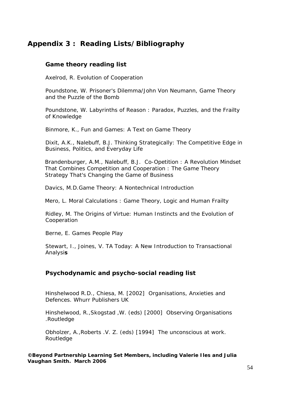# **Appendix 3 : Reading Lists/Bibliography**

## **Game theory reading list**

Axelrod, R. *Evolution of Cooperatio*n

Poundstone, W. P*risoner's Dilemma/John Von Neumann, Game Theory and the Puzzle of the Bomb* 

Poundstone, W. *Labyrinths of Reason : Paradox, Puzzles, and th*e *Frailty of Knowledge* 

Binmore, K., *Fun and Games: A Text on Game Theory* 

Dixit, A.K., Nalebuff, B.J. *Thinking Strategically: The Competitive Edge in Business, Politics, and Everyday Life* 

Brandenburger, A.M., Nalebuff, B.J. *Co-Opetition : A Revolution Mindset That Combines Competition and Cooperation : The Game Theory Strategy That's Changing the Game of Business* 

Davics, M.D.*Game Theory: A Nontechnical Introduction* 

Mero, L. *Moral Calculations : Game Theory, Logic and Human Frailty* 

Ridley, M. *The Origins of Virtue: Human Instincts and the Evolution of Cooperation* 

Berne, E. *Games People Play* 

Stewart, I., Joines, V. *TA Today: A New Introduction to Transactional Analysis* 

## **Psychodynamic and psycho-social reading list**

Hinshelwood R.D., Chiesa, M. [2002] O*rganisations, Anxieties and Defences.* Whurr Publishers UK

Hinshelwood, R.,Skogstad ,W. (eds) [2000] *Observing Organisations .*Routledge

Obholzer, A.,Roberts .V. Z. (eds) [1994] *The unconscious at work*. **Routledge**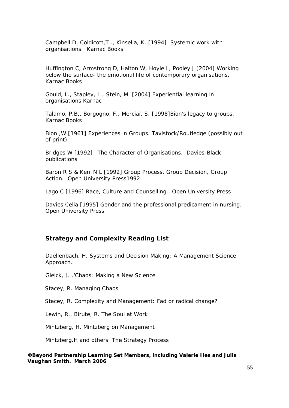Campbell D, Coldicott,T ., Kinsella, K. [1994] *Systemic work with organisations*. Karnac Books

Huffington C, Armstrong D, Halton W, Hoyle L, Pooley J [2004] *Working below the surface- the emotional life of contemporary organisations.* Karnac Books

Gould, L., Stapley, L., Stein, M. [2004] *Experiential learning in organisations* Karnac

Talamo, P.B,, Borgogno, F., Merciai, S. [1998]*Bion's legacy to groups.*  Karnac Books

Bion ,W [1961] *Experiences in Groups.* Tavistock/Routledge (possibly out of print)

Bridges W [1992] *The Character of Organisations.* Davies-Black publications

Baron R S & Kerr N L [1992] *Group Process, Group Decision, Group Action.* Open University Press1992

Lago C [1996] *Race, Culture and Counselling.* Open University Press

Davies Celia [1995] *Gender and the professional predicament in nursing.* Open University Press

#### **Strategy and Complexity Reading List**

Daellenbach, H. *Systems and Decision Making: A Management Science Approach.* 

Gleick, J. .'*Chaos: Making a New Science* 

Stacey, R. *Managing Chaos*

Stacey, R. *Complexity and Management: Fad or radical change?* 

Lewin, R., Birute, R. *The Soul at Work* 

Mintzberg, H. *Mintzberg on Management* 

Mintzberg.H and others *The Strategy Process*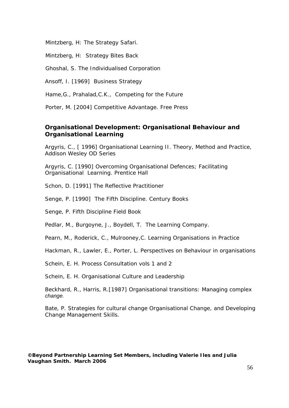Mintzberg, H: *The Strategy Safari.* 

Mintzberg, H: *Strategy Bites Back* 

Ghoshal, S. *The Individualised Corporation*

Ansoff, I. [1969] *Business Strategy*

Hame,G., Prahalad,C.K., *Competing for the Future* 

Porter, M. [2004] *Competitive Advantage.* Free Press

### **Organisational Development: Organisational Behaviour and Organisational Learning**

Argyris, C., [ 1996] *Organisational Learning II. Theory, Method and Practice,* Addison Wesley OD Series

Argyris, C. [1990] *Overcoming Organisational Defences; Facilitating Organisational Learning*. Prentice Hall

Schon, D. [1991] *The Reflective Practitioner* 

Senge, P. [1990] *The Fifth Disciplin*e. Century Books

Senge, P. *Fifth Discipline Field Book* 

Pedlar, M., Burgoyne, J., Boydell, T. *The Learning Company.* 

Pearn, M., Roderick, C., Mulrooney,C. *Learning Organisations in Practice* 

Hackman, R., Lawler, E., Porter, L. *Perspectives on Behaviour in organisations* 

Schein, E. H. *Process Consultation vols 1 and 2* 

Schein, E. H*. Organisational Culture and Leadership*

Beckhard, R., Harris, R.[1987] *Organisational transitions: Managing complex change.* 

Bate, P. *Strategies for cultural change Organisational Change, and Developing Change Management Skills.*